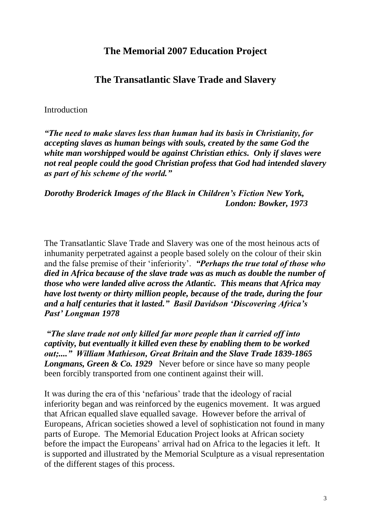# **The Memorial 2007 Education Project**

## **The Transatlantic Slave Trade and Slavery**

#### <span id="page-2-1"></span><span id="page-2-0"></span>**Introduction**

*"The need to make slaves less than human had its basis in Christianity, for accepting slaves as human beings with souls, created by the same God the white man worshipped would be against Christian ethics. Only if slaves were not real people could the good Christian profess that God had intended slavery as part of his scheme of the world."*

*Dorothy Broderick Images of the Black in Children's Fiction New York, London: Bowker, 1973* 

The Transatlantic Slave Trade and Slavery was one of the most heinous acts of inhumanity perpetrated against a people based solely on the colour of their skin and the false premise of their 'inferiority'. *"Perhaps the true total of those who died in Africa because of the slave trade was as much as double the number of those who were landed alive across the Atlantic. This means that Africa may have lost twenty or thirty million people, because of the trade, during the four and a half centuries that it lasted." Basil Davidson 'Discovering Africa's Past' Longman 1978*

*"The slave trade not only killed far more people than it carried off into captivity, but eventually it killed even these by enabling them to be worked out;...." William Mathieson, Great Britain and the Slave Trade 1839-1865 Longmans, Green & Co. 1929* Never before or since have so many people been forcibly transported from one continent against their will.

It was during the era of this 'nefarious' trade that the ideology of racial inferiority began and was reinforced by the eugenics movement. It was argued that African equalled slave equalled savage. However before the arrival of Europeans, African societies showed a level of sophistication not found in many parts of Europe. The Memorial Education Project looks at African society before the impact the Europeans' arrival had on Africa to the legacies it left. It is supported and illustrated by the Memorial Sculpture as a visual representation of the different stages of this process.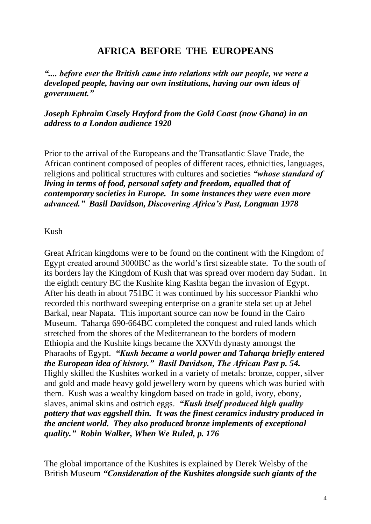# **AFRICA BEFORE THE EUROPEANS**

<span id="page-3-0"></span>*".... before ever the British came into relations with our people, we were a developed people, having our own institutions, having our own ideas of government."*

*Joseph Ephraim Casely Hayford from the Gold Coast (now Ghana) in an address to a London audience 1920*

Prior to the arrival of the Europeans and the Transatlantic Slave Trade, the African continent composed of peoples of different races, ethnicities, languages, religions and political structures with cultures and societies *"whose standard of living in terms of food, personal safety and freedom, equalled that of contemporary societies in Europe. In some instances they were even more advanced." Basil Davidson, Discovering Africa's Past, Longman 1978*

<span id="page-3-1"></span>Kush

Great African kingdoms were to be found on the continent with the Kingdom of Egypt created around 3000BC as the world's first sizeable state. To the south of its borders lay the Kingdom of Kush that was spread over modern day Sudan. In the eighth century BC the Kushite king Kashta began the invasion of Egypt. After his death in about 751BC it was continued by his successor Piankhi who recorded this northward sweeping enterprise on a granite stela set up at Jebel Barkal, near Napata. This important source can now be found in the Cairo Museum. Taharqa 690-664BC completed the conquest and ruled lands which stretched from the shores of the Mediterranean to the borders of modern Ethiopia and the Kushite kings became the XXVth dynasty amongst the Pharaohs of Egypt. *"Kush became a world power and Taharqa briefly entered the European idea of history." Basil Davidson, The African Past p. 54.* Highly skilled the Kushites worked in a variety of metals: bronze, copper, silver and gold and made heavy gold jewellery worn by queens which was buried with them. Kush was a wealthy kingdom based on trade in gold, ivory, ebony, slaves, animal skins and ostrich eggs. *"Kush itself produced high quality pottery that was eggshell thin. It was the finest ceramics industry produced in the ancient world. They also produced bronze implements of exceptional quality." Robin Walker, When We Ruled, p. 176*

The global importance of the Kushites is explained by Derek Welsby of the British Museum *"Consideration of the Kushites alongside such giants of the*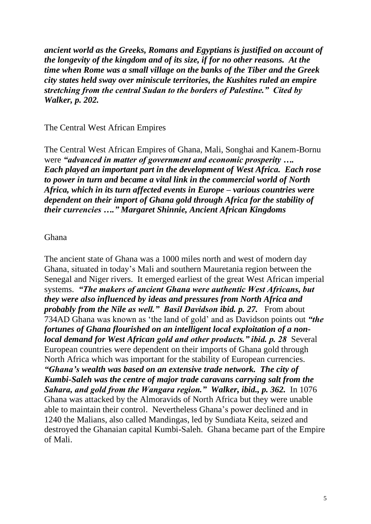*ancient world as the Greeks, Romans and Egyptians is justified on account of the longevity of the kingdom and of its size, if for no other reasons. At the time when Rome was a small village on the banks of the Tiber and the Greek city states held sway over miniscule territories, the Kushites ruled an empire stretching from the central Sudan to the borders of Palestine." Cited by Walker, p. 202.* 

<span id="page-4-0"></span>The Central West African Empires

The Central West African Empires of Ghana, Mali, Songhai and Kanem-Bornu were *"advanced in matter of government and economic prosperity …. Each played an important part in the development of West Africa. Each rose to power in turn and became a vital link in the commercial world of North Africa, which in its turn affected events in Europe – various countries were dependent on their import of Ghana gold through Africa for the stability of their currencies …." Margaret Shinnie, Ancient African Kingdoms*

#### <span id="page-4-1"></span>Ghana

The ancient state of Ghana was a 1000 miles north and west of modern day Ghana, situated in today's Mali and southern Mauretania region between the Senegal and Niger rivers. It emerged earliest of the great West African imperial systems. *"The makers of ancient Ghana were authentic West Africans, but they were also influenced by ideas and pressures from North Africa and probably from the Nile as well." Basil Davidson ibid. p. 27.* From about 734AD Ghana was known as 'the land of gold' and as Davidson points out *"the fortunes of Ghana flourished on an intelligent local exploitation of a nonlocal demand for West African gold and other products." ibid. p. 28* Several European countries were dependent on their imports of Ghana gold through North Africa which was important for the stability of European currencies. *"Ghana's wealth was based on an extensive trade network. The city of Kumbi-Saleh was the centre of major trade caravans carrying salt from the Sahara, and gold from the Wangara region." Walker, ibid., p. 362.* In 1076 Ghana was attacked by the Almoravids of North Africa but they were unable able to maintain their control. Nevertheless Ghana's power declined and in 1240 the Malians, also called Mandingas, led by Sundiata Keita, seized and destroyed the Ghanaian capital Kumbi-Saleh. Ghana became part of the Empire of Mali.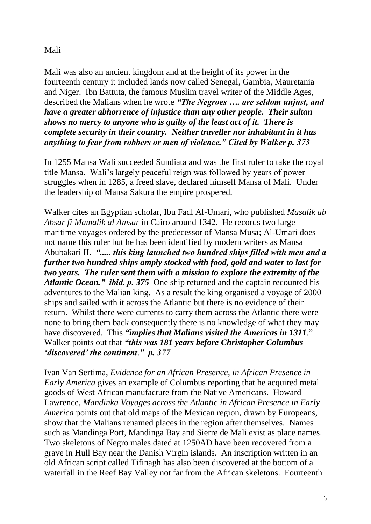### <span id="page-5-0"></span>Mali

Mali was also an ancient kingdom and at the height of its power in the fourteenth century it included lands now called Senegal, Gambia, Mauretania and Niger. Ibn Battuta, the famous Muslim travel writer of the Middle Ages, described the Malians when he wrote *"The Negroes …. are seldom unjust, and have a greater abhorrence of injustice than any other people. Their sultan shows no mercy to anyone who is guilty of the least act of it. There is complete security in their country. Neither traveller nor inhabitant in it has anything to fear from robbers or men of violence." Cited by Walker p. 373* 

In 1255 Mansa Wali succeeded Sundiata and was the first ruler to take the royal title Mansa. Wali's largely peaceful reign was followed by years of power struggles when in 1285, a freed slave, declared himself Mansa of Mali. Under the leadership of Mansa Sakura the empire prospered.

Walker cites an Egyptian scholar, Ibu Fadl Al-Umari, who published *Masalik ab Absar fi Mamalik al Amsar* in Cairo around 1342. He records two large maritime voyages ordered by the predecessor of Mansa Musa; Al-Umari does not name this ruler but he has been identified by modern writers as Mansa Abubakari II. *"..... this king launched two hundred ships filled with men and a further two hundred ships amply stocked with food, gold and water to last for two years. The ruler sent them with a mission to explore the extremity of the Atlantic Ocean." ibid. p. 375* One ship returned and the captain recounted his adventures to the Malian king. As a result the king organised a voyage of 2000 ships and sailed with it across the Atlantic but there is no evidence of their return. Whilst there were currents to carry them across the Atlantic there were none to bring them back consequently there is no knowledge of what they may have discovered. This *"implies that Malians visited the Americas in 1311*." Walker points out that *"this was 181 years before Christopher Columbus 'discovered' the continent*.*" p. 377*

Ivan Van Sertima, *Evidence for an African Presence, in African Presence in Early America* gives an example of Columbus reporting that he acquired metal goods of West African manufacture from the Native Americans. Howard Lawrence, *Mandinka Voyages across the Atlantic in African Presence in Early America* points out that old maps of the Mexican region, drawn by Europeans, show that the Malians renamed places in the region after themselves. Names such as Mandinga Port, Mandinga Bay and Sierre de Mali exist as place names. Two skeletons of Negro males dated at 1250AD have been recovered from a grave in Hull Bay near the Danish Virgin islands. An inscription written in an old African script called Tifinagh has also been discovered at the bottom of a waterfall in the Reef Bay Valley not far from the African skeletons. Fourteenth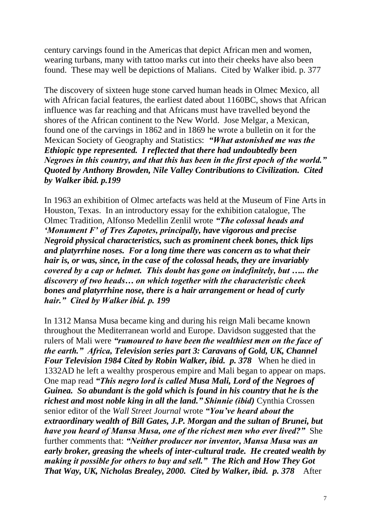century carvings found in the Americas that depict African men and women, wearing turbans, many with tattoo marks cut into their cheeks have also been found. These may well be depictions of Malians. Cited by Walker ibid. p. 377

The discovery of sixteen huge stone carved human heads in Olmec Mexico, all with African facial features, the earliest dated about 1160BC, shows that African influence was far reaching and that Africans must have travelled beyond the shores of the African continent to the New World. Jose Melgar, a Mexican, found one of the carvings in 1862 and in 1869 he wrote a bulletin on it for the Mexican Society of Geography and Statistics: *"What astonished me was the Ethiopic type represented. I reflected that there had undoubtedly been Negroes in this country, and that this has been in the first epoch of the world." Quoted by Anthony Browden, Nile Valley Contributions to Civilization. Cited by Walker ibid. p.199*

In 1963 an exhibition of Olmec artefacts was held at the Museum of Fine Arts in Houston, Texas. In an introductory essay for the exhibition catalogue, The Olmec Tradition, Alfonso Medellin Zenlil wrote *"The colossal heads and 'Monument F' of Tres Zapotes, principally, have vigorous and precise Negroid physical characteristics, such as prominent cheek bones, thick lips and platyrrhine noses. For a long time there was concern as to what their hair is, or was, since, in the case of the colossal heads, they are invariably covered by a cap or helmet. This doubt has gone on indefinitely, but ….. the discovery of two heads… on which together with the characteristic cheek bones and platyrrhine nose, there is a hair arrangement or head of curly hair." Cited by Walker ibid. p. 199* 

In 1312 Mansa Musa became king and during his reign Mali became known throughout the Mediterranean world and Europe. Davidson suggested that the rulers of Mali were *"rumoured to have been the wealthiest men on the face of the earth." Africa, Television series part 3: Caravans of Gold, UK, Channel Four Television 1984 Cited by Robin Walker, ibid. p. 378* When he died in 1332AD he left a wealthy prosperous empire and Mali began to appear on maps. One map read *"This negro lord is called Musa Mali, Lord of the Negroes of Guinea. So abundant is the gold which is found in his country that he is the richest and most noble king in all the land.*" Shinnie (ibid) Cynthia Crossen senior editor of the *Wall Street Journal* wrote *"You've heard about the extraordinary wealth of Bill Gates, J.P. Morgan and the sultan of Brunei, but have you heard of Mansa Musa, one of the richest men who ever lived?"* She further comments that: *"Neither producer nor inventor, Mansa Musa was an early broker, greasing the wheels of inter-cultural trade. He created wealth by making it possible for others to buy and sell." The Rich and How They Got That Way, UK, Nicholas Brealey, 2000. Cited by Walker, ibid. p. 378* **After**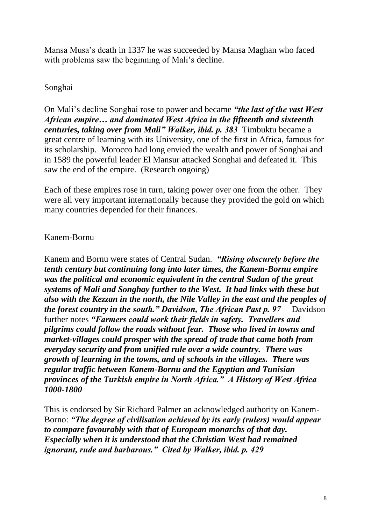Mansa Musa's death in 1337 he was succeeded by Mansa Maghan who faced with problems saw the beginning of Mali's decline.

## <span id="page-7-0"></span>Songhai

On Mali's decline Songhai rose to power and became *"the last of the vast West African empire… and dominated West Africa in the fifteenth and sixteenth centuries, taking over from Mali" Walker, ibid. p. 383* Timbuktu became a great centre of learning with its University, one of the first in Africa, famous for its scholarship. Morocco had long envied the wealth and power of Songhai and in 1589 the powerful leader El Mansur attacked Songhai and defeated it. This saw the end of the empire. (Research ongoing)

Each of these empires rose in turn, taking power over one from the other. They were all very important internationally because they provided the gold on which many countries depended for their finances.

## <span id="page-7-1"></span>Kanem-Bornu

Kanem and Bornu were states of Central Sudan. *"Rising obscurely before the tenth century but continuing long into later times, the Kanem-Bornu empire was the political and economic equivalent in the central Sudan of the great systems of Mali and Songhay further to the West. It had links with these but also with the Kezzan in the north, the Nile Valley in the east and the peoples of the forest country in the south." Davidson, The African Past p. 97* Davidson further notes *"Farmers could work their fields in safety. Travellers and pilgrims could follow the roads without fear. Those who lived in towns and market-villages could prosper with the spread of trade that came both from everyday security and from unified rule over a wide country. There was growth of learning in the towns, and of schools in the villages. There was regular traffic between Kanem-Bornu and the Egyptian and Tunisian provinces of the Turkish empire in North Africa." A History of West Africa 1000-1800*

This is endorsed by Sir Richard Palmer an acknowledged authority on Kanem-Borno: *"The degree of civilisation achieved by its early (rulers) would appear to compare favourably with that of European monarchs of that day. Especially when it is understood that the Christian West had remained ignorant, rude and barbarous." Cited by Walker, ibid. p. 429*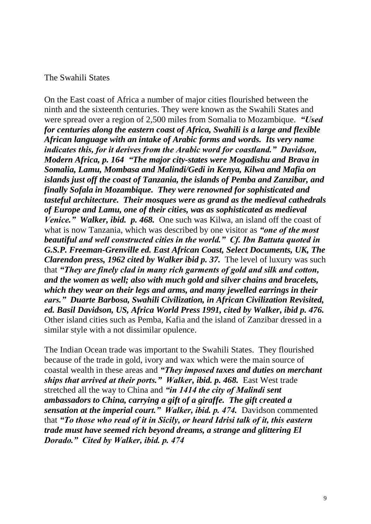#### <span id="page-8-0"></span>The Swahili States

On the East coast of Africa a number of major cities flourished between the ninth and the sixteenth centuries. They were known as the Swahili States and were spread over a region of 2,500 miles from Somalia to Mozambique. *"Used for centuries along the eastern coast of Africa, Swahili is a large and flexible African language with an intake of Arabic forms and words. Its very name indicates this, for it derives from the Arabic word for coastland." Davidson, Modern Africa, p. 164 "The major city-states were Mogadishu and Brava in Somalia, Lamu, Mombasa and Malindi/Gedi in Kenya, Kilwa and Mafia on islands just off the coast of Tanzania, the islands of Pemba and Zanzibar, and finally Sofala in Mozambique. They were renowned for sophisticated and tasteful architecture. Their mosques were as grand as the medieval cathedrals of Europe and Lamu, one of their cities, was as sophisticated as medieval Venice." Walker, ibid. p. 468.* One such was Kilwa, an island off the coast of what is now Tanzania, which was described by one visitor as *"one of the most beautiful and well constructed cities in the world." Cf. Ibn Battuta quoted in G.S.P. Freeman-Grenville ed. East African Coast, Select Documents, UK, The Clarendon press, 1962 cited by Walker ibid p. 37.* The level of luxury was such that *"They are finely clad in many rich garments of gold and silk and cotton, and the women as well; also with much gold and silver chains and bracelets, which they wear on their legs and arms, and many jewelled earrings in their ears." Duarte Barbosa, Swahili Civilization, in African Civilization Revisited, ed. Basil Davidson, US, Africa World Press 1991, cited by Walker, ibid p. 476.* Other island cities such as Pemba, Kafia and the island of Zanzibar dressed in a similar style with a not dissimilar opulence.

The Indian Ocean trade was important to the Swahili States. They flourished because of the trade in gold, ivory and wax which were the main source of coastal wealth in these areas and *"They imposed taxes and duties on merchant*  ships that arrived at their ports." Walker, ibid. p. 468. East West trade stretched all the way to China and *"in 1414 the city of Malindi sent ambassadors to China, carrying a gift of a giraffe. The gift created a sensation at the imperial court.*" *Walker, ibid. p. 474.* Davidson commented that *"To those who read of it in Sicily, or heard Idrisi talk of it, this eastern trade must have seemed rich beyond dreams, a strange and glittering El Dorado." Cited by Walker, ibid. p. 474*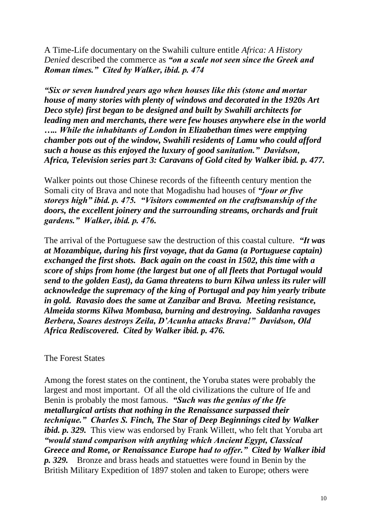A Time-Life documentary on the Swahili culture entitle *Africa: A History Denied* described the commerce as *"on a scale not seen since the Greek and Roman times." Cited by Walker, ibid. p. 474* 

*"Six or seven hundred years ago when houses like this (stone and mortar house of many stories with plenty of windows and decorated in the 1920s Art Deco style) first began to be designed and built by Swahili architects for leading men and merchants, there were few houses anywhere else in the world ….. While the inhabitants of London in Elizabethan times were emptying chamber pots out of the window, Swahili residents of Lamu who could afford such a house as this enjoyed the luxury of good sanitation." Davidson, Africa, Television series part 3: Caravans of Gold cited by Walker ibid. p. 477.*

Walker points out those Chinese records of the fifteenth century mention the Somali city of Brava and note that Mogadishu had houses of *"four or five storeys high" ibid. p. 475. "Visitors commented on the craftsmanship of the doors, the excellent joinery and the surrounding streams, orchards and fruit gardens." Walker, ibid. p. 476.* 

The arrival of the Portuguese saw the destruction of this coastal culture. *"It was at Mozambique, during his first voyage, that da Gama (a Portuguese captain) exchanged the first shots. Back again on the coast in 1502, this time with a score of ships from home (the largest but one of all fleets that Portugal would send to the golden East), da Gama threatens to burn Kilwa unless its ruler will acknowledge the supremacy of the king of Portugal and pay him yearly tribute in gold. Ravasio does the same at Zanzibar and Brava. Meeting resistance, Almeida storms Kilwa Mombasa, burning and destroying. Saldanha ravages Berbera, Soares destroys Zeila, D'Acunha attacks Brava!" Davidson, Old Africa Rediscovered. Cited by Walker ibid. p. 476.*

<span id="page-9-0"></span>The Forest States

Among the forest states on the continent, the Yoruba states were probably the largest and most important. Of all the old civilizations the culture of Ife and Benin is probably the most famous. *"Such was the genius of the Ife metallurgical artists that nothing in the Renaissance surpassed their technique." Charles S. Finch, The Star of Deep Beginnings cited by Walker ibid. p. 329.* This view was endorsed by Frank Willett, who felt that Yoruba art *"would stand comparison with anything which Ancient Egypt, Classical Greece and Rome, or Renaissance Europe had to offer." Cited by Walker ibid p. 329.* Bronze and brass heads and statuettes were found in Benin by the British Military Expedition of 1897 stolen and taken to Europe; others were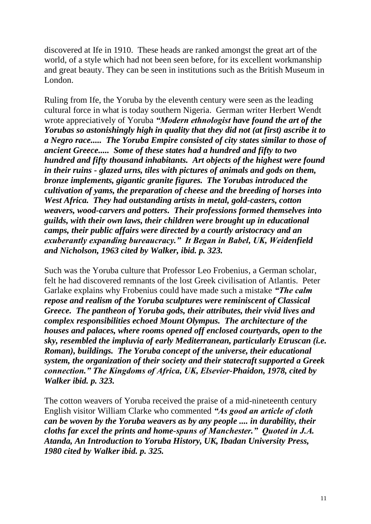discovered at Ife in 1910. These heads are ranked amongst the great art of the world, of a style which had not been seen before, for its excellent workmanship and great beauty. They can be seen in institutions such as the British Museum in London.

Ruling from Ife, the Yoruba by the eleventh century were seen as the leading cultural force in what is today southern Nigeria. German writer Herbert Wendt wrote appreciatively of Yoruba *"Modern ethnologist have found the art of the Yorubas so astonishingly high in quality that they did not (at first) ascribe it to a Negro race..... The Yoruba Empire consisted of city states similar to those of ancient Greece..... Some of these states had a hundred and fifty to two hundred and fifty thousand inhabitants. Art objects of the highest were found in their ruins - glazed urns, tiles with pictures of animals and gods on them, bronze implements, gigantic granite figures. The Yorubas introduced the cultivation of yams, the preparation of cheese and the breeding of horses into West Africa. They had outstanding artists in metal, gold-casters, cotton weavers, wood-carvers and potters. Their professions formed themselves into guilds, with their own laws, their children were brought up in educational camps, their public affairs were directed by a courtly aristocracy and an exuberantly expanding bureaucracy." It Began in Babel, UK, Weidenfield and Nicholson, 1963 cited by Walker, ibid. p. 323.*

Such was the Yoruba culture that Professor Leo Frobenius, a German scholar, felt he had discovered remnants of the lost Greek civilisation of Atlantis. Peter Garlake explains why Frobenius could have made such a mistake *"The calm repose and realism of the Yoruba sculptures were reminiscent of Classical Greece. The pantheon of Yoruba gods, their attributes, their vivid lives and complex responsibilities echoed Mount Olympus. The architecture of the houses and palaces, where rooms opened off enclosed courtyards, open to the sky, resembled the impluvia of early Mediterranean, particularly Etruscan (i.e. Roman), buildings. The Yoruba concept of the universe, their educational system, the organization of their society and their statecraft supported a Greek connection." The Kingdoms of Africa, UK, Elsevier-Phaidon, 1978, cited by Walker ibid. p. 323.*

The cotton weavers of Yoruba received the praise of a mid-nineteenth century English visitor William Clarke who commented *"As good an article of cloth can be woven by the Yoruba weavers as by any people .... in durability, their cloths far excel the prints and home-spuns of Manchester." Quoted in J.A. Atanda, An Introduction to Yoruba History, UK, Ibadan University Press, 1980 cited by Walker ibid. p. 325.*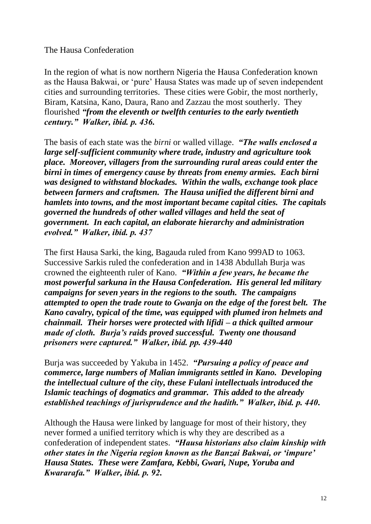<span id="page-11-0"></span>The Hausa Confederation

In the region of what is now northern Nigeria the Hausa Confederation known as the Hausa Bakwai, or 'pure' Hausa States was made up of seven independent cities and surrounding territories. These cities were Gobir, the most northerly, Biram, Katsina, Kano, Daura, Rano and Zazzau the most southerly. They flourished *"from the eleventh or twelfth centuries to the early twentieth century." Walker, ibid. p. 436.*

The basis of each state was the *birni* or walled village. *"The walls enclosed a large self-sufficient community where trade, industry and agriculture took place. Moreover, villagers from the surrounding rural areas could enter the birni in times of emergency cause by threats from enemy armies. Each birni was designed to withstand blockades. Within the walls, exchange took place between farmers and craftsmen. The Hausa unified the different birni and hamlets into towns, and the most important became capital cities. The capitals governed the hundreds of other walled villages and held the seat of government. In each capital, an elaborate hierarchy and administration evolved." Walker, ibid. p. 437*

The first Hausa Sarki, the king, Bagauda ruled from Kano 999AD to 1063. Successive Sarkis ruled the confederation and in 1438 Abdullah Burja was crowned the eighteenth ruler of Kano. *"Within a few years, he became the most powerful sarkuna in the Hausa Confederation. His general led military campaigns for seven years in the regions to the south. The campaigns attempted to open the trade route to Gwanja on the edge of the forest belt. The Kano cavalry, typical of the time, was equipped with plumed iron helmets and chainmail. Their horses were protected with lifidi – a thick quilted armour made of cloth. Burja's raids proved successful. Twenty one thousand prisoners were captured." Walker, ibid. pp. 439-440*

Burja was succeeded by Yakuba in 1452. *"Pursuing a policy of peace and commerce, large numbers of Malian immigrants settled in Kano. Developing the intellectual culture of the city, these Fulani intellectuals introduced the Islamic teachings of dogmatics and grammar. This added to the already established teachings of jurisprudence and the hadith." Walker, ibid. p. 440.*

Although the Hausa were linked by language for most of their history, they never formed a unified territory which is why they are described as a confederation of independent states. *"Hausa historians also claim kinship with other states in the Nigeria region known as the Banzai Bakwai, or 'impure' Hausa States. These were Zamfara, Kebbi, Gwari, Nupe, Yoruba and Kwararafa." Walker, ibid. p. 92.*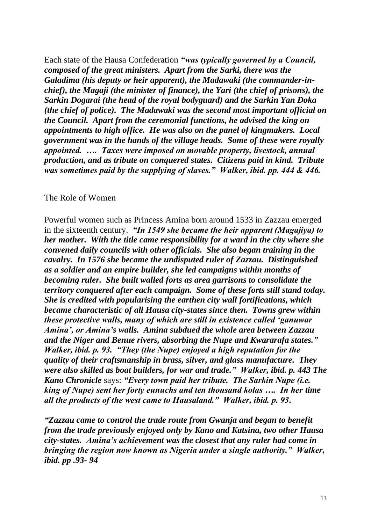Each state of the Hausa Confederation *"was typically governed by a Council, composed of the great ministers. Apart from the Sarki, there was the Galadima (his deputy or heir apparent), the Madawaki (the commander-inchief), the Magaji (the minister of finance), the Yari (the chief of prisons), the Sarkin Dogarai (the head of the royal bodyguard) and the Sarkin Yan Doka (the chief of police). The Madawaki was the second most important official on the Council. Apart from the ceremonial functions, he advised the king on appointments to high office. He was also on the panel of kingmakers. Local government was in the hands of the village heads. Some of these were royally appointed. …. Taxes were imposed on movable property, livestock, annual production, and as tribute on conquered states. Citizens paid in kind. Tribute was sometimes paid by the supplying of slaves." Walker, ibid. pp. 444 & 446.*

#### <span id="page-12-0"></span>The Role of Women

Powerful women such as Princess Amina born around 1533 in Zazzau emerged in the sixteenth century. *"In 1549 she became the heir apparent (Magajiya) to her mother. With the title came responsibility for a ward in the city where she convened daily councils with other officials. She also began training in the cavalry. In 1576 she became the undisputed ruler of Zazzau. Distinguished as a soldier and an empire builder, she led campaigns within months of becoming ruler. She built walled forts as area garrisons to consolidate the territory conquered after each campaign. Some of these forts still stand today. She is credited with popularising the earthen city wall fortifications, which became characteristic of all Hausa city-states since then. Towns grew within these protective walls, many of which are still in existence called 'ganuwar Amina', or Amina's walls. Amina subdued the whole area between Zazzau and the Niger and Benue rivers, absorbing the Nupe and Kwararafa states." Walker, ibid. p. 93. "They (the Nupe) enjoyed a high reputation for the quality of their craftsmanship in brass, silver, and glass manufacture. They were also skilled as boat builders, for war and trade." Walker, ibid. p. 443 The Kano Chronicle* says: *"Every town paid her tribute. The Sarkin Nupe (i.e. king of Nupe) sent her forty eunuchs and ten thousand kolas …. In her time all the products of the west came to Hausaland." Walker, ibid. p. 93.* 

*"Zazzau came to control the trade route from Gwanja and began to benefit from the trade previously enjoyed only by Kano and Katsina, two other Hausa city-states. Amina's achievement was the closest that any ruler had come in bringing the region now known as Nigeria under a single authority." Walker, ibid. pp .93- 94*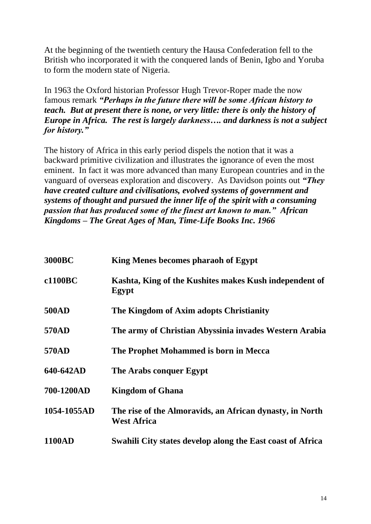At the beginning of the twentieth century the Hausa Confederation fell to the British who incorporated it with the conquered lands of Benin, Igbo and Yoruba to form the modern state of Nigeria.

In 1963 the Oxford historian Professor Hugh Trevor-Roper made the now famous remark *"Perhaps in the future there will be some African history to teach. But at present there is none, or very little: there is only the history of Europe in Africa. The rest is largely darkness…. and darkness is not a subject for history."*

The history of Africa in this early period dispels the notion that it was a backward primitive civilization and illustrates the ignorance of even the most eminent. In fact it was more advanced than many European countries and in the vanguard of overseas exploration and discovery. As Davidson points out *"They have created culture and civilisations, evolved systems of government and systems of thought and pursued the inner life of the spirit with a consuming passion that has produced some of the finest art known to man." African Kingdoms – The Great Ages of Man, Time-Life Books Inc. 1966* 

| <b>3000BC</b> | King Menes becomes pharaoh of Egypt                                            |
|---------------|--------------------------------------------------------------------------------|
| c1100BC       | Kashta, King of the Kushites makes Kush independent of<br>Egypt                |
| <b>500AD</b>  | The Kingdom of Axim adopts Christianity                                        |
| 570AD         | The army of Christian Abyssinia invades Western Arabia                         |
| 570AD         | The Prophet Mohammed is born in Mecca                                          |
| 640-642AD     | The Arabs conquer Egypt                                                        |
| 700-1200AD    | <b>Kingdom of Ghana</b>                                                        |
| 1054-1055AD   | The rise of the Almoravids, an African dynasty, in North<br><b>West Africa</b> |
| <b>1100AD</b> | Swahili City states develop along the East coast of Africa                     |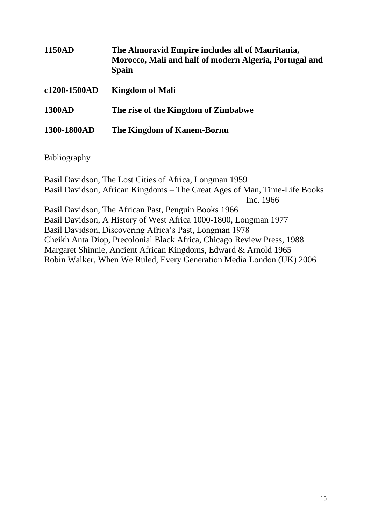| <b>1150AD</b> | The Almoravid Empire includes all of Mauritania,<br>Morocco, Mali and half of modern Algeria, Portugal and<br><b>Spain</b> |
|---------------|----------------------------------------------------------------------------------------------------------------------------|
| c1200-1500AD  | <b>Kingdom of Mali</b>                                                                                                     |
| <b>1300AD</b> | The rise of the Kingdom of Zimbabwe                                                                                        |
| 1300-1800AD   | The Kingdom of Kanem-Bornu                                                                                                 |

<span id="page-14-0"></span>Bibliography

Basil Davidson, The Lost Cities of Africa, Longman 1959 Basil Davidson, African Kingdoms – The Great Ages of Man, Time-Life Books Inc. 1966 Basil Davidson, The African Past, Penguin Books 1966 Basil Davidson, A History of West Africa 1000-1800, Longman 1977 Basil Davidson, Discovering Africa's Past, Longman 1978 Cheikh Anta Diop, Precolonial Black Africa, Chicago Review Press, 1988 Margaret Shinnie, Ancient African Kingdoms, Edward & Arnold 1965 Robin Walker, When We Ruled, Every Generation Media London (UK) 2006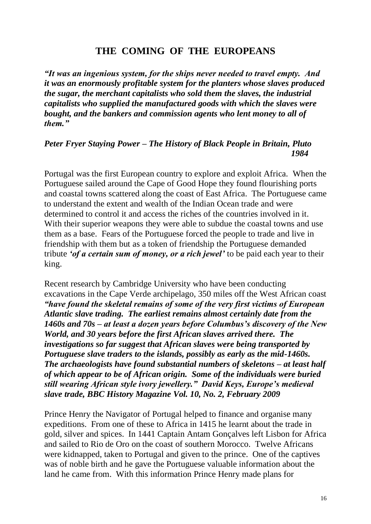# **THE COMING OF THE EUROPEANS**

<span id="page-15-0"></span>*"It was an ingenious system, for the ships never needed to travel empty. And it was an enormously profitable system for the planters whose slaves produced the sugar, the merchant capitalists who sold them the slaves, the industrial capitalists who supplied the manufactured goods with which the slaves were bought, and the bankers and commission agents who lent money to all of them."*

### *Peter Fryer Staying Power – The History of Black People in Britain, Pluto 1984*

Portugal was the first European country to explore and exploit Africa. When the Portuguese sailed around the Cape of Good Hope they found flourishing ports and coastal towns scattered along the coast of East Africa. The Portuguese came to understand the extent and wealth of the Indian Ocean trade and were determined to control it and access the riches of the countries involved in it. With their superior weapons they were able to subdue the coastal towns and use them as a base. Fears of the Portuguese forced the people to trade and live in friendship with them but as a token of friendship the Portuguese demanded tribute *'of a certain sum of money, or a rich jewel'* to be paid each year to their king.

Recent research by Cambridge University who have been conducting excavations in the Cape Verde archipelago, 350 miles off the West African coast *"have found the skeletal remains of some of the very first victims of European Atlantic slave trading. The earliest remains almost certainly date from the 1460s and 70s – at least a dozen years before Columbus's discovery of the New World, and 30 years before the first African slaves arrived there. The investigations so far suggest that African slaves were being transported by Portuguese slave traders to the islands, possibly as early as the mid-1460s. The archaeologists have found substantial numbers of skeletons – at least half of which appear to be of African origin. Some of the individuals were buried still wearing African style ivory jewellery." David Keys, Europe's medieval slave trade, BBC History Magazine Vol. 10, No. 2, February 2009*

Prince Henry the Navigator of Portugal helped to finance and organise many expeditions. From one of these to Africa in 1415 he learnt about the trade in gold, silver and spices. In 1441 Captain Antam Gonçalves left Lisbon for Africa and sailed to Rio de Oro on the coast of southern Morocco. Twelve Africans were kidnapped, taken to Portugal and given to the prince. One of the captives was of noble birth and he gave the Portuguese valuable information about the land he came from. With this information Prince Henry made plans for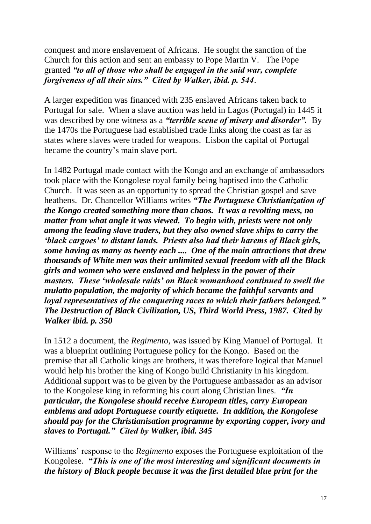conquest and more enslavement of Africans. He sought the sanction of the Church for this action and sent an embassy to Pope Martin V. The Pope granted *"to all of those who shall be engaged in the said war, complete forgiveness of all their sins." Cited by Walker, ibid. p. 544*.

A larger expedition was financed with 235 enslaved Africans taken back to Portugal for sale. When a slave auction was held in Lagos (Portugal) in 1445 it was described by one witness as a *"terrible scene of misery and disorder".* By the 1470s the Portuguese had established trade links along the coast as far as states where slaves were traded for weapons. Lisbon the capital of Portugal became the country's main slave port.

In 1482 Portugal made contact with the Kongo and an exchange of ambassadors took place with the Kongolese royal family being baptised into the Catholic Church. It was seen as an opportunity to spread the Christian gospel and save heathens. Dr. Chancellor Williams writes *"The Portuguese Christianization of the Kongo created something more than chaos. It was a revolting mess, no matter from what angle it was viewed. To begin with, priests were not only among the leading slave traders, but they also owned slave ships to carry the 'black cargoes' to distant lands. Priests also had their harems of Black girls, some having as many as twenty each .... One of the main attractions that drew thousands of White men was their unlimited sexual freedom with all the Black girls and women who were enslaved and helpless in the power of their masters. These 'wholesale raids' on Black womanhood continued to swell the mulatto population, the majority of which became the faithful servants and loyal representatives of the conquering races to which their fathers belonged." The Destruction of Black Civilization, US, Third World Press, 1987. Cited by Walker ibid. p. 350*

In 1512 a document, the *Regimento,* was issued by King Manuel of Portugal. It was a blueprint outlining Portuguese policy for the Kongo. Based on the premise that all Catholic kings are brothers, it was therefore logical that Manuel would help his brother the king of Kongo build Christianity in his kingdom. Additional support was to be given by the Portuguese ambassador as an advisor to the Kongolese king in reforming his court along Christian lines. *"In particular, the Kongolese should receive European titles, carry European emblems and adopt Portuguese courtly etiquette. In addition, the Kongolese should pay for the Christianisation programme by exporting copper, ivory and slaves to Portugal." Cited by Walker, ibid. 345* 

Williams' response to the *Regimento* exposes the Portuguese exploitation of the Kongolese. *"This is one of the most interesting and significant documents in the history of Black people because it was the first detailed blue print for the*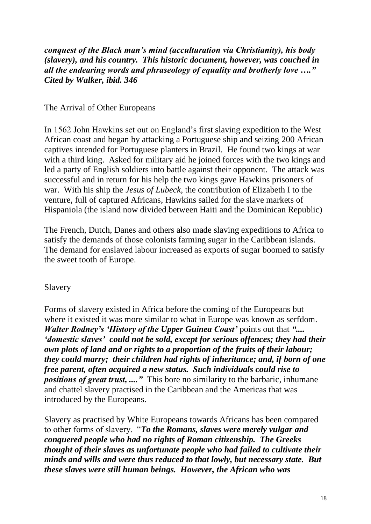*conquest of the Black man's mind (acculturation via Christianity), his body (slavery), and his country. This historic document, however, was couched in all the endearing words and phraseology of equality and brotherly love …." Cited by Walker, ibid. 346*

<span id="page-17-0"></span>The Arrival of Other Europeans

In 1562 John Hawkins set out on England's first slaving expedition to the West African coast and began by attacking a Portuguese ship and seizing 200 African captives intended for Portuguese planters in Brazil. He found two kings at war with a third king. Asked for military aid he joined forces with the two kings and led a party of English soldiers into battle against their opponent. The attack was successful and in return for his help the two kings gave Hawkins prisoners of war. With his ship the *Jesus of Lubeck,* the contribution of Elizabeth I to the venture, full of captured Africans, Hawkins sailed for the slave markets of Hispaniola (the island now divided between Haiti and the Dominican Republic)

The French, Dutch, Danes and others also made slaving expeditions to Africa to satisfy the demands of those colonists farming sugar in the Caribbean islands. The demand for enslaved labour increased as exports of sugar boomed to satisfy the sweet tooth of Europe.

## <span id="page-17-1"></span>Slavery

Forms of slavery existed in Africa before the coming of the Europeans but where it existed it was more similar to what in Europe was known as serfdom. *Walter Rodney's 'History of the Upper Guinea Coast'* points out that *".... 'domestic slaves' could not be sold, except for serious offences; they had their own plots of land and or rights to a proportion of the fruits of their labour; they could marry; their children had rights of inheritance; and, if born of one free parent, often acquired a new status. Such individuals could rise to positions of great trust, ...."* This bore no similarity to the barbaric, inhumane and chattel slavery practised in the Caribbean and the Americas that was introduced by the Europeans.

Slavery as practised by White Europeans towards Africans has been compared to other forms of slavery. "*To the Romans, slaves were merely vulgar and conquered people who had no rights of Roman citizenship. The Greeks thought of their slaves as unfortunate people who had failed to cultivate their minds and wills and were thus reduced to that lowly, but necessary state. But these slaves were still human beings. However, the African who was*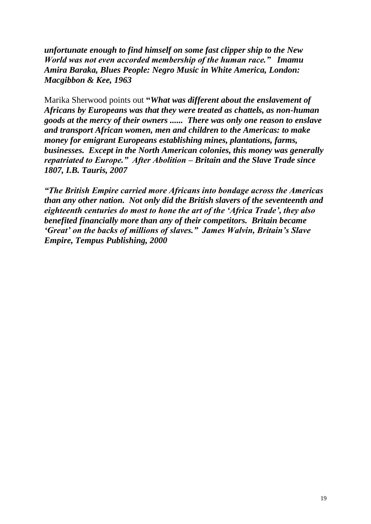*unfortunate enough to find himself on some fast clipper ship to the New World was not even accorded membership of the human race." Imamu Amira Baraka, Blues People: Negro Music in White America, London: Macgibbon & Kee, 1963*

Marika Sherwood points out **"***What was different about the enslavement of Africans by Europeans was that they were treated as chattels, as non-human goods at the mercy of their owners ...... There was only one reason to enslave and transport African women, men and children to the Americas: to make money for emigrant Europeans establishing mines, plantations, farms, businesses. Except in the North American colonies, this money was generally repatriated to Europe." After Abolition – Britain and the Slave Trade since 1807, I.B. Tauris, 2007* 

*"The British Empire carried more Africans into bondage across the Americas than any other nation. Not only did the British slavers of the seventeenth and eighteenth centuries do most to hone the art of the 'Africa Trade', they also benefited financially more than any of their competitors. Britain became 'Great' on the backs of millions of slaves." James Walvin, Britain's Slave Empire, Tempus Publishing, 2000*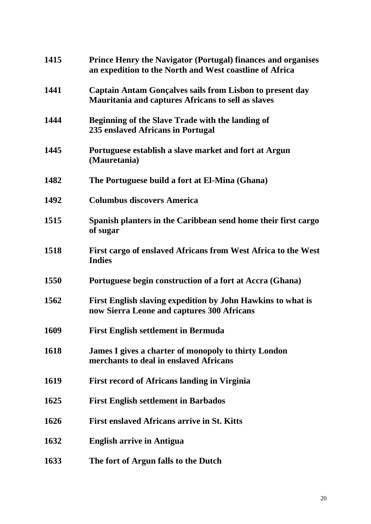| 1415        | <b>Prince Henry the Navigator (Portugal) finances and organises</b><br>an expedition to the North and West coastline of Africa |
|-------------|--------------------------------------------------------------------------------------------------------------------------------|
| 1441        | Captain Antam Gonçalves sails from Lisbon to present day<br><b>Mauritania and captures Africans to sell as slaves</b>          |
| 1444        | <b>Beginning of the Slave Trade with the landing of</b><br>235 enslaved Africans in Portugal                                   |
| 1445        | Portuguese establish a slave market and fort at Argun<br>(Mauretania)                                                          |
| 1482        | The Portuguese build a fort at El-Mina (Ghana)                                                                                 |
| 1492        | <b>Columbus discovers America</b>                                                                                              |
| 1515        | Spanish planters in the Caribbean send home their first cargo<br>of sugar                                                      |
| 1518        | First cargo of enslaved Africans from West Africa to the West<br><b>Indies</b>                                                 |
| <b>1550</b> | Portuguese begin construction of a fort at Accra (Ghana)                                                                       |
| 1562        | First English slaving expedition by John Hawkins to what is<br>now Sierra Leone and captures 300 Africans                      |
| 1609        | <b>First English settlement in Bermuda</b>                                                                                     |
| 1618        | James I gives a charter of monopoly to thirty London<br>merchants to deal in enslaved Africans                                 |
| 1619        | <b>First record of Africans landing in Virginia</b>                                                                            |
| 1625        | <b>First English settlement in Barbados</b>                                                                                    |
| 1626        | <b>First enslaved Africans arrive in St. Kitts</b>                                                                             |
| 1632        | <b>English arrive in Antigua</b>                                                                                               |
| 1633        | The fort of Argun falls to the Dutch                                                                                           |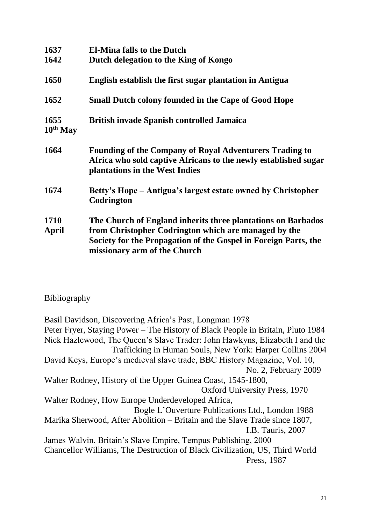| 1637                  | <b>El-Mina falls to the Dutch</b>                                                                                                                                   |
|-----------------------|---------------------------------------------------------------------------------------------------------------------------------------------------------------------|
| 1642                  | Dutch delegation to the King of Kongo                                                                                                                               |
| 1650                  | English establish the first sugar plantation in Antigua                                                                                                             |
| 1652                  | <b>Small Dutch colony founded in the Cape of Good Hope</b>                                                                                                          |
| 1655<br>$10^{th}$ May | <b>British invade Spanish controlled Jamaica</b>                                                                                                                    |
| 1664                  | <b>Founding of the Company of Royal Adventurers Trading to</b><br>Africa who sold captive Africans to the newly established sugar<br>plantations in the West Indies |
| 1674                  | Betty's Hope – Antigua's largest estate owned by Christopher<br>Codrington                                                                                          |
| 1710                  | The Church of England inherits three plantations on Barbados                                                                                                        |
| April                 | from Christopher Codrington which are managed by the<br>Society for the Propagation of the Gospel in Foreign Parts, the<br>missionary arm of the Church             |

<span id="page-20-0"></span>Bibliography

Basil Davidson, Discovering Africa's Past, Longman 1978 Peter Fryer, Staying Power – The History of Black People in Britain, Pluto 1984 Nick Hazlewood, The Queen's Slave Trader: John Hawkyns, Elizabeth I and the Trafficking in Human Souls, New York: Harper Collins 2004 David Keys, Europe's medieval slave trade, BBC History Magazine, Vol. 10, No. 2, February 2009 Walter Rodney, History of the Upper Guinea Coast, 1545-1800, Oxford University Press, 1970 Walter Rodney, How Europe Underdeveloped Africa, Bogle L'Ouverture Publications Ltd., London 1988 Marika Sherwood, After Abolition – Britain and the Slave Trade since 1807, I.B. Tauris, 2007 James Walvin, Britain's Slave Empire, Tempus Publishing, 2000 Chancellor Williams, The Destruction of Black Civilization, US, Third World Press, 1987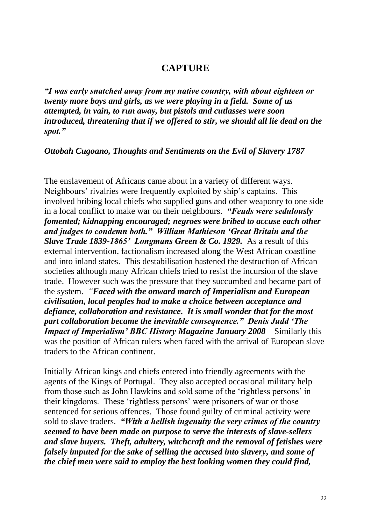# **CAPTURE**

<span id="page-21-0"></span>*"I was early snatched away from my native country, with about eighteen or twenty more boys and girls, as we were playing in a field. Some of us attempted, in vain, to run away, but pistols and cutlasses were soon introduced, threatening that if we offered to stir, we should all lie dead on the spot."*

*Ottobah Cugoano, Thoughts and Sentiments on the Evil of Slavery 1787*

The enslavement of Africans came about in a variety of different ways. Neighbours' rivalries were frequently exploited by ship's captains. This involved bribing local chiefs who supplied guns and other weaponry to one side in a local conflict to make war on their neighbours. *"Feuds were sedulously fomented; kidnapping encouraged; negroes were bribed to accuse each other and judges to condemn both." William Mathieson 'Great Britain and the Slave Trade 1839-1865' Longmans Green & Co. 1929.* As a result of this external intervention, factionalism increased along the West African coastline and into inland states. This destabilisation hastened the destruction of African societies although many African chiefs tried to resist the incursion of the slave trade. However such was the pressure that they succumbed and became part of the system. *"Faced with the onward march of Imperialism and European civilisation, local peoples had to make a choice between acceptance and defiance, collaboration and resistance. It is small wonder that for the most part collaboration became the inevitable consequence." Denis Judd 'The Impact of Imperialism' BBC History Magazine January 2008* Similarly this was the position of African rulers when faced with the arrival of European slave traders to the African continent.

Initially African kings and chiefs entered into friendly agreements with the agents of the Kings of Portugal. They also accepted occasional military help from those such as John Hawkins and sold some of the 'rightless persons' in their kingdoms. These 'rightless persons' were prisoners of war or those sentenced for serious offences. Those found guilty of criminal activity were sold to slave traders. *"With a hellish ingenuity the very crimes of the country seemed to have been made on purpose to serve the interests of slave-sellers and slave buyers. Theft, adultery, witchcraft and the removal of fetishes were falsely imputed for the sake of selling the accused into slavery, and some of the chief men were said to employ the best looking women they could find,*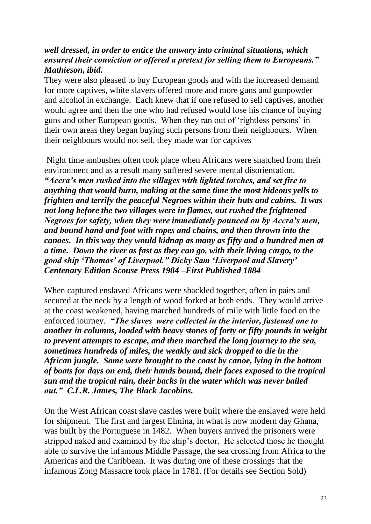## *well dressed, in order to entice the unwary into criminal situations, which ensured their conviction or offered a pretext for selling them to Europeans." Mathieson, ibid.*

They were also pleased to buy European goods and with the increased demand for more captives, white slavers offered more and more guns and gunpowder and alcohol in exchange. Each knew that if one refused to sell captives, another would agree and then the one who had refused would lose his chance of buying guns and other European goods. When they ran out of 'rightless persons' in their own areas they began buying such persons from their neighbours. When their neighbours would not sell, they made war for captives

Night time ambushes often took place when Africans were snatched from their environment and as a result many suffered severe mental disorientation. *"Accra's men rushed into the villages with lighted torches, and set fire to anything that would burn, making at the same time the most hideous yells to frighten and terrify the peaceful Negroes within their huts and cabins. It was not long before the two villages were in flames, out rushed the frightened Negroes for safety, when they were immediately pounced on by Accra's men, and bound hand and foot with ropes and chains, and then thrown into the canoes. In this way they would kidnap as many as fifty and a hundred men at a time. Down the river as fast as they can go, with their living cargo, to the good ship 'Thomas' of Liverpool." Dicky Sam 'Liverpool and Slavery' Centenary Edition Scouse Press 1984 –First Published 1884*

When captured enslaved Africans were shackled together, often in pairs and secured at the neck by a length of wood forked at both ends. They would arrive at the coast weakened, having marched hundreds of mile with little food on the enforced journey. *"The slaves were collected in the interior, fastened one to another in columns, loaded with heavy stones of forty or fifty pounds in weight to prevent attempts to escape, and then marched the long journey to the sea, sometimes hundreds of miles, the weakly and sick dropped to die in the African jungle. Some were brought to the coast by canoe, lying in the bottom of boats for days on end, their hands bound, their faces exposed to the tropical sun and the tropical rain, their backs in the water which was never bailed out." C.L.R. James, The Black Jacobins.* 

On the West African coast slave castles were built where the enslaved were held for shipment. The first and largest Elmina, in what is now modern day Ghana, was built by the Portuguese in 1482. When buyers arrived the prisoners were stripped naked and examined by the ship's doctor. He selected those he thought able to survive the infamous Middle Passage, the sea crossing from Africa to the Americas and the Caribbean. It was during one of these crossings that the infamous Zong Massacre took place in 1781. (For details see Section Sold)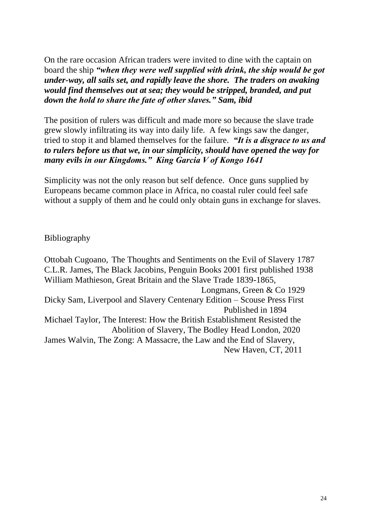On the rare occasion African traders were invited to dine with the captain on board the ship *"when they were well supplied with drink, the ship would be got under-way, all sails set, and rapidly leave the shore. The traders on awaking would find themselves out at sea; they would be stripped, branded, and put down the hold to share the fate of other slaves." Sam, ibid*

The position of rulers was difficult and made more so because the slave trade grew slowly infiltrating its way into daily life. A few kings saw the danger, tried to stop it and blamed themselves for the failure. *"It is a disgrace to us and to rulers before us that we, in our simplicity, should have opened the way for many evils in our Kingdoms." King Garcia V of Kongo 1641* 

Simplicity was not the only reason but self defence. Once guns supplied by Europeans became common place in Africa, no coastal ruler could feel safe without a supply of them and he could only obtain guns in exchange for slaves.

<span id="page-23-0"></span>Bibliography

Ottobah Cugoano, The Thoughts and Sentiments on the Evil of Slavery 1787 C.L.R. James, The Black Jacobins, Penguin Books 2001 first published 1938 William Mathieson, Great Britain and the Slave Trade 1839-1865, Longmans, Green & Co 1929 Dicky Sam, Liverpool and Slavery Centenary Edition – Scouse Press First Published in 1894 Michael Taylor, The Interest: How the British Establishment Resisted the Abolition of Slavery, The Bodley Head London, 2020 James Walvin, The Zong: A Massacre, the Law and the End of Slavery, New Haven, CT, 2011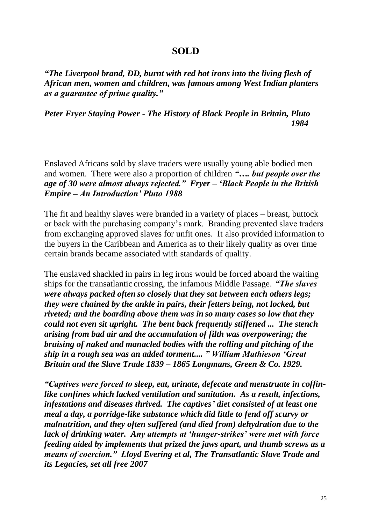### **SOLD**

<span id="page-24-0"></span>*"The Liverpool brand, DD, burnt with red hot irons into the living flesh of African men, women and children, was famous among West Indian planters as a guarantee of prime quality."*

*Peter Fryer Staying Power - The History of Black People in Britain, Pluto 1984*

Enslaved Africans sold by slave traders were usually young able bodied men and women. There were also a proportion of children *"…. but people over the age of 30 were almost always rejected." Fryer – 'Black People in the British Empire – An Introduction' Pluto 1988*

The fit and healthy slaves were branded in a variety of places – breast, buttock or back with the purchasing company's mark. Branding prevented slave traders from exchanging approved slaves for unfit ones. It also provided information to the buyers in the Caribbean and America as to their likely quality as over time certain brands became associated with standards of quality.

The enslaved shackled in pairs in leg irons would be forced aboard the waiting ships for the transatlantic crossing, the infamous Middle Passage. *"The slaves were always packed often so closely that they sat between each others legs; they were chained by the ankle in pairs, their fetters being, not locked, but riveted; and the boarding above them was in so many cases so low that they could not even sit upright. The bent back frequently stiffened ... The stench arising from bad air and the accumulation of filth was overpowering; the bruising of naked and manacled bodies with the rolling and pitching of the ship in a rough sea was an added torment.... " William Mathieson 'Great Britain and the Slave Trade 1839 – 1865 Longmans, Green & Co. 1929.*

*"Captives were forced to sleep, eat, urinate, defecate and menstruate in coffinlike confines which lacked ventilation and sanitation. As a result, infections, infestations and diseases thrived. The captives' diet consisted of at least one meal a day, a porridge-like substance which did little to fend off scurvy or malnutrition, and they often suffered (and died from) dehydration due to the lack of drinking water. Any attempts at 'hunger-strikes' were met with force feeding aided by implements that prized the jaws apart, and thumb screws as a means of coercion." Lloyd Evering et al, The Transatlantic Slave Trade and its Legacies, set all free 2007*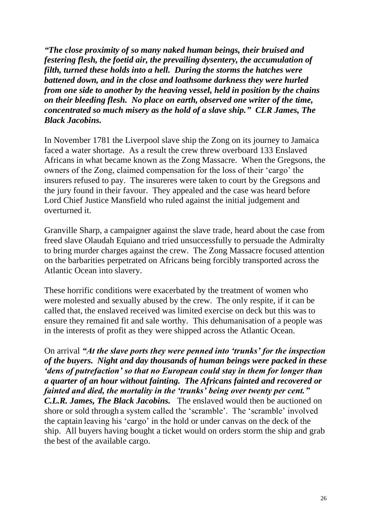*"The close proximity of so many naked human beings, their bruised and festering flesh, the foetid air, the prevailing dysentery, the accumulation of filth, turned these holds into a hell. During the storms the hatches were battened down, and in the close and loathsome darkness they were hurled from one side to another by the heaving vessel, held in position by the chains on their bleeding flesh. No place on earth, observed one writer of the time, concentrated so much misery as the hold of a slave ship." CLR James, The Black Jacobins.*

In November 1781 the Liverpool slave ship the Zong on its journey to Jamaica faced a water shortage. As a result the crew threw overboard 133 Enslaved Africans in what became known as the Zong Massacre. When the Gregsons, the owners of the Zong, claimed compensation for the loss of their 'cargo' the insurers refused to pay. The insureres were taken to court by the Gregsons and the jury found in their favour. They appealed and the case was heard before Lord Chief Justice Mansfield who ruled against the initial judgement and overturned it.

Granville Sharp, a campaigner against the slave trade, heard about the case from freed slave Olaudah Equiano and tried unsuccessfully to persuade the Admiralty to bring murder charges against the crew. The Zong Massacre focused attention on the barbarities perpetrated on Africans being forcibly transported across the Atlantic Ocean into slavery.

These horrific conditions were exacerbated by the treatment of women who were molested and sexually abused by the crew. The only respite, if it can be called that, the enslaved received was limited exercise on deck but this was to ensure they remained fit and sale worthy. This dehumanisation of a people was in the interests of profit as they were shipped across the Atlantic Ocean.

On arrival *"At the slave ports they were penned into 'trunks' for the inspection of the buyers. Night and day thousands of human beings were packed in these 'dens of putrefaction' so that no European could stay in them for longer than a quarter of an hour without fainting. The Africans fainted and recovered or fainted and died, the mortality in the 'trunks' being over twenty per cent." C.L.R. James, The Black Jacobins.* The enslaved would then be auctioned on shore or sold through a system called the 'scramble'. The 'scramble' involved the captain leaving his 'cargo' in the hold or under canvas on the deck of the ship. All buyers having bought a ticket would on orders storm the ship and grab the best of the available cargo.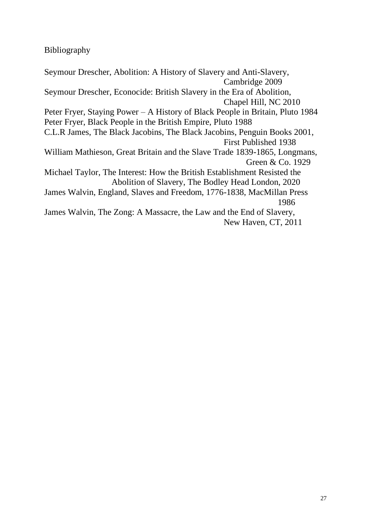<span id="page-26-0"></span>Bibliography

Seymour Drescher, Abolition: A History of Slavery and Anti-Slavery, Cambridge 2009 Seymour Drescher, Econocide: British Slavery in the Era of Abolition, Chapel Hill, NC 2010 Peter Fryer, Staying Power – A History of Black People in Britain, Pluto 1984 Peter Fryer, Black People in the British Empire, Pluto 1988 C.L.R James, The Black Jacobins, The Black Jacobins, Penguin Books 2001, First Published 1938 William Mathieson, Great Britain and the Slave Trade 1839-1865, Longmans, Green & Co. 1929 Michael Taylor, The Interest: How the British Establishment Resisted the Abolition of Slavery, The Bodley Head London, 2020 James Walvin, England, Slaves and Freedom, 1776-1838, MacMillan Press 1986 James Walvin, The Zong: A Massacre, the Law and the End of Slavery, New Haven, CT, 2011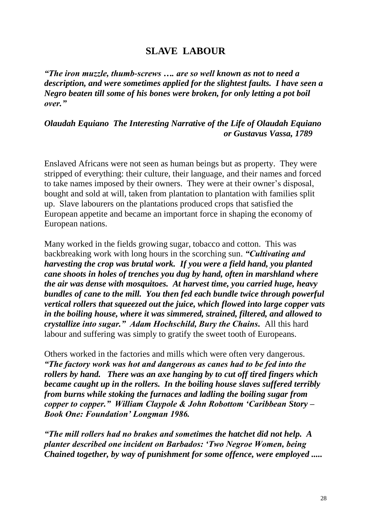# **SLAVE LABOUR**

<span id="page-27-0"></span>*"The iron muzzle, thumb-screws …. are so well known as not to need a description, and were sometimes applied for the slightest faults. I have seen a Negro beaten till some of his bones were broken, for only letting a pot boil over."*

*Olaudah Equiano The Interesting Narrative of the Life of Olaudah Equiano or Gustavus Vassa, 1789*

Enslaved Africans were not seen as human beings but as property. They were stripped of everything: their culture, their language, and their names and forced to take names imposed by their owners. They were at their owner's disposal, bought and sold at will, taken from plantation to plantation with families split up. Slave labourers on the plantations produced crops that satisfied the European appetite and became an important force in shaping the economy of European nations.

Many worked in the fields growing sugar, tobacco and cotton. This was backbreaking work with long hours in the scorching sun. *"Cultivating and harvesting the crop was brutal work. If you were a field hand, you planted cane shoots in holes of trenches you dug by hand, often in marshland where the air was dense with mosquitoes. At harvest time, you carried huge, heavy bundles of cane to the mill. You then fed each bundle twice through powerful vertical rollers that squeezed out the juice, which flowed into large copper vats in the boiling house, where it was simmered, strained, filtered, and allowed to crystallize into sugar." Adam Hochschild, Bury the Chains.* All this hard labour and suffering was simply to gratify the sweet tooth of Europeans.

Others worked in the factories and mills which were often very dangerous. *"The factory work was hot and dangerous as canes had to be fed into the rollers by hand. There was an axe hanging by to cut off tired fingers which became caught up in the rollers. In the boiling house slaves suffered terribly from burns while stoking the furnaces and ladling the boiling sugar from copper to copper." William Claypole & John Robottom 'Caribbean Story – Book One: Foundation' Longman 1986.* 

*"The mill rollers had no brakes and sometimes the hatchet did not help. A planter described one incident on Barbados: 'Two Negroe Women, being Chained together, by way of punishment for some offence, were employed .....*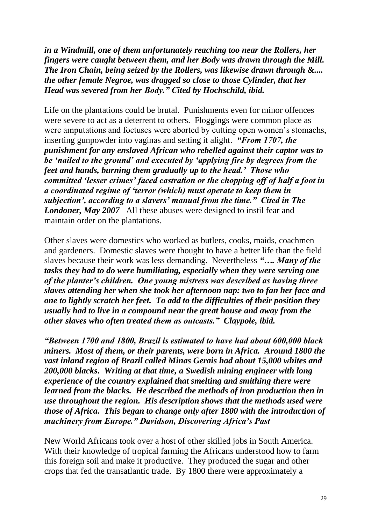*in a Windmill, one of them unfortunately reaching too near the Rollers, her fingers were caught between them, and her Body was drawn through the Mill. The Iron Chain, being seized by the Rollers, was likewise drawn through &.... the other female Negroe, was dragged so close to those Cylinder, that her Head was severed from her Body." Cited by Hochschild, ibid.*

Life on the plantations could be brutal. Punishments even for minor offences were severe to act as a deterrent to others. Floggings were common place as were amputations and foetuses were aborted by cutting open women's stomachs, inserting gunpowder into vaginas and setting it alight. *"From 1707, the punishment for any enslaved African who rebelled against their captor was to be 'nailed to the ground' and executed by 'applying fire by degrees from the feet and hands, burning them gradually up to the head.' Those who committed 'lesser crimes' faced castration or the chopping off of half a foot in a coordinated regime of 'terror (which) must operate to keep them in subjection', according to a slavers' manual from the time." Cited in The Londoner, May 2007* All these abuses were designed to instil fear and maintain order on the plantations.

Other slaves were domestics who worked as butlers, cooks, maids, coachmen and gardeners. Domestic slaves were thought to have a better life than the field slaves because their work was less demanding. Nevertheless *"…. Many of the tasks they had to do were humiliating, especially when they were serving one of the planter's children. One young mistress was described as having three slaves attending her when she took her afternoon nap: two to fan her face and one to lightly scratch her feet. To add to the difficulties of their position they usually had to live in a compound near the great house and away from the other slaves who often treated them as outcasts." Claypole, ibid.*

*"Between 1700 and 1800, Brazil is estimated to have had about 600,000 black miners. Most of them, or their parents, were born in Africa. Around 1800 the vast inland region of Brazil called Minas Gerais had about 15,000 whites and 200,000 blacks. Writing at that time, a Swedish mining engineer with long experience of the country explained that smelting and smithing there were learned from the blacks. He described the methods of iron production then in use throughout the region. His description shows that the methods used were those of Africa. This began to change only after 1800 with the introduction of machinery from Europe." Davidson, Discovering Africa's Past*

New World Africans took over a host of other skilled jobs in South America. With their knowledge of tropical farming the Africans understood how to farm this foreign soil and make it productive. They produced the sugar and other crops that fed the transatlantic trade. By 1800 there were approximately a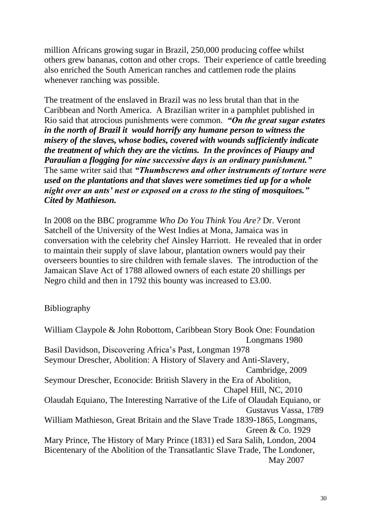million Africans growing sugar in Brazil, 250,000 producing coffee whilst others grew bananas, cotton and other crops. Their experience of cattle breeding also enriched the South American ranches and cattlemen rode the plains whenever ranching was possible.

The treatment of the enslaved in Brazil was no less brutal than that in the Caribbean and North America. A Brazilian writer in a pamphlet published in Rio said that atrocious punishments were common. *"On the great sugar estates in the north of Brazil it would horrify any humane person to witness the misery of the slaves, whose bodies, covered with wounds sufficiently indicate the treatment of which they are the victims. In the provinces of Piaupy and Paraulian a flogging for nine successive days is an ordinary punishment."*  The same writer said that *"Thumbscrews and other instruments of torture were used on the plantations and that slaves were sometimes tied up for a whole night over an ants' nest or exposed on a cross to the sting of mosquitoes." Cited by Mathieson.*

In 2008 on the BBC programme *Who Do You Think You Are?* Dr. Veront Satchell of the University of the West Indies at Mona, Jamaica was in conversation with the celebrity chef Ainsley Harriott. He revealed that in order to maintain their supply of slave labour, plantation owners would pay their overseers bounties to sire children with female slaves. The introduction of the Jamaican Slave Act of 1788 allowed owners of each estate 20 shillings per Negro child and then in 1792 this bounty was increased to £3.00.

<span id="page-29-0"></span>Bibliography

William Claypole & John Robottom, Caribbean Story Book One: Foundation Longmans 1980 Basil Davidson, Discovering Africa's Past, Longman 1978 Seymour Drescher, Abolition: A History of Slavery and Anti-Slavery, Cambridge, 2009 Seymour Drescher, Econocide: British Slavery in the Era of Abolition, Chapel Hill, NC, 2010 Olaudah Equiano, The Interesting Narrative of the Life of Olaudah Equiano, or Gustavus Vassa, 1789 William Mathieson, Great Britain and the Slave Trade 1839-1865, Longmans, Green & Co. 1929 Mary Prince, The History of Mary Prince (1831) ed Sara Salih, London, 2004 Bicentenary of the Abolition of the Transatlantic Slave Trade, The Londoner, May 2007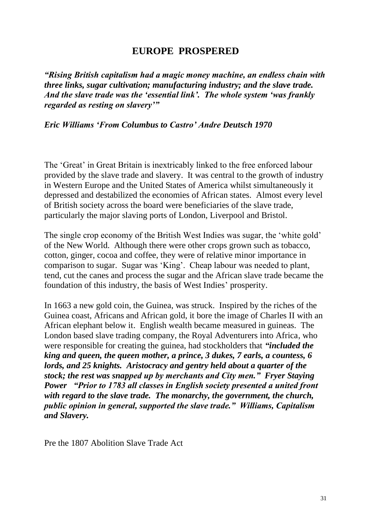## **EUROPE PROSPERED**

<span id="page-30-0"></span>*"Rising British capitalism had a magic money machine, an endless chain with three links, sugar cultivation; manufacturing industry; and the slave trade. And the slave trade was the 'essential link'. The whole system 'was frankly regarded as resting on slavery'"*

*Eric Williams 'From Columbus to Castro' Andre Deutsch 1970*

The 'Great' in Great Britain is inextricably linked to the free enforced labour provided by the slave trade and slavery. It was central to the growth of industry in Western Europe and the United States of America whilst simultaneously it depressed and destabilized the economies of African states. Almost every level of British society across the board were beneficiaries of the slave trade, particularly the major slaving ports of London, Liverpool and Bristol.

The single crop economy of the British West Indies was sugar, the 'white gold' of the New World. Although there were other crops grown such as tobacco, cotton, ginger, cocoa and coffee, they were of relative minor importance in comparison to sugar. Sugar was 'King'. Cheap labour was needed to plant, tend, cut the canes and process the sugar and the African slave trade became the foundation of this industry, the basis of West Indies' prosperity.

In 1663 a new gold coin, the Guinea, was struck. Inspired by the riches of the Guinea coast, Africans and African gold, it bore the image of Charles II with an African elephant below it. English wealth became measured in guineas. The London based slave trading company, the Royal Adventurers into Africa, who were responsible for creating the guinea, had stockholders that *"included the king and queen, the queen mother, a prince, 3 dukes, 7 earls, a countess, 6 lords, and 25 knights. Aristocracy and gentry held about a quarter of the stock; the rest was snapped up by merchants and City men." Fryer Staying Power "Prior to 1783 all classes in English society presented a united front with regard to the slave trade. The monarchy, the government, the church, public opinion in general, supported the slave trade." Williams, Capitalism and Slavery.*

<span id="page-30-1"></span>Pre the 1807 Abolition Slave Trade Act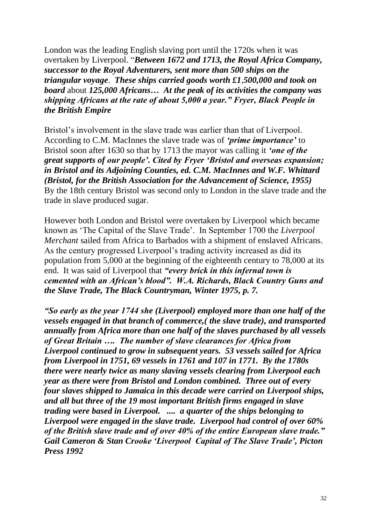London was the leading English slaving port until the 1720s when it was overtaken by Liverpool. "*Between 1672 and 1713, the Royal Africa Company, successor to the Royal Adventurers, sent more than 500 ships on the triangular voyage*. *These ships carried goods worth £1*,*500,000 and took on board* about *125,000 Africans… At the peak of its activities the company was shipping Africans at the rate of about 5,000 a year." Fryer, Black People in the British Empire*

Bristol's involvement in the slave trade was earlier than that of Liverpool. According to C.M. MacInnes the slave trade was of *'prime importance'* to Bristol soon after 1630 so that by 1713 the mayor was calling it *'one of the great supports of our people'. Cited by Fryer 'Bristol and overseas expansion; in Bristol and its Adjoining Counties, ed. C.M. MacInnes and W.F. Whittard (Bristol, for the British Association for the Advancement of Science, 1955)*  By the 18th century Bristol was second only to London in the slave trade and the trade in slave produced sugar.

However both London and Bristol were overtaken by Liverpool which became known as 'The Capital of the Slave Trade'. In September 1700 the *Liverpool Merchant* sailed from Africa to Barbados with a shipment of enslaved Africans. As the century progressed Liverpool's trading activity increased as did its population from 5,000 at the beginning of the eighteenth century to 78,000 at its end. It was said of Liverpool that *"every brick in this infernal town is cemented with an African's blood". W.A. Richards, Black Country Guns and the Slave Trade, The Black Countryman, Winter 1975, p. 7.*

*"So early as the year 1744 she (Liverpool) employed more than one half of the vessels engaged in that branch of commerce,( the slave trade), and transported annually from Africa more than one half of the slaves purchased by all vessels of Great Britain …. The number of slave clearances for Africa from Liverpool continued to grow in subsequent years. 53 vessels sailed for Africa from Liverpool in 1751, 69 vessels in 1761 and 107 in 1771. By the 1780s there were nearly twice as many slaving vessels clearing from Liverpool each year as there were from Bristol and London combined. Three out of every four slaves shipped to Jamaica in this decade were carried on Liverpool ships, and all but three of the 19 most important British firms engaged in slave trading were based in Liverpool. .... a quarter of the ships belonging to Liverpool were engaged in the slave trade. Liverpool had control of over 60% of the British slave trade and of over 40% of the entire European slave trade." Gail Cameron & Stan Crooke 'Liverpool Capital of The Slave Trade', Picton Press 1992*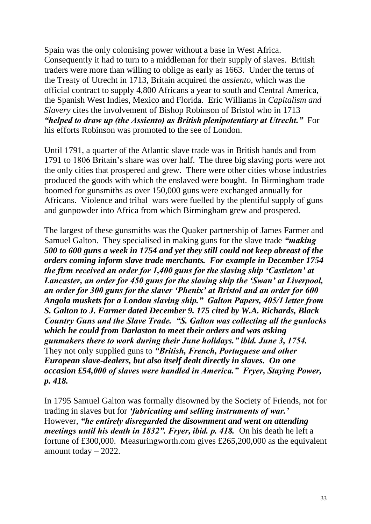Spain was the only colonising power without a base in West Africa. Consequently it had to turn to a middleman for their supply of slaves. British traders were more than willing to oblige as early as 1663. Under the terms of the Treaty of Utrecht in 1713, Britain acquired the *assiento*, which was the official contract to supply 4,800 Africans a year to south and Central America, the Spanish West Indies, Mexico and Florida. Eric Williams in *Capitalism and Slavery* cites the involvement of Bishop Robinson of Bristol who in 1713 *"helped to draw up (the Assiento) as British plenipotentiary at Utrecht."* For his efforts Robinson was promoted to the see of London.

Until 1791, a quarter of the Atlantic slave trade was in British hands and from 1791 to 1806 Britain's share was over half. The three big slaving ports were not the only cities that prospered and grew. There were other cities whose industries produced the goods with which the enslaved were bought. In Birmingham trade boomed for gunsmiths as over 150,000 guns were exchanged annually for Africans. Violence and tribal wars were fuelled by the plentiful supply of guns and gunpowder into Africa from which Birmingham grew and prospered.

The largest of these gunsmiths was the Quaker partnership of James Farmer and Samuel Galton. They specialised in making guns for the slave trade *"making 500 to 600 guns a week in 1754 and yet they still could not keep abreast of the orders coming inform slave trade merchants. For example in December 1754 the firm received an order for 1,400 guns for the slaving ship 'Castleton' at Lancaster, an order for 450 guns for the slaving ship the 'Swan' at Liverpool, an order for 300 guns for the slaver 'Phenix' at Bristol and an order for 600 Angola muskets for a London slaving ship." Galton Papers, 405/1 letter from S. Galton to J. Farmer dated December 9. 175 cited by W.A. Richards, Black Country Guns and the Slave Trade. "S. Galton was collecting all the gunlocks which he could from Darlaston to meet their orders and was asking gunmakers there to work during their June holidays." ibid. June 3, 1754.*  They not only supplied guns to *"British, French, Portuguese and other European slave-dealers, but also itself dealt directly in slaves. On one occasion £54,000 of slaves were handled in America." Fryer, Staying Power, p. 418.*

In 1795 Samuel Galton was formally disowned by the Society of Friends, not for trading in slaves but for *'fabricating and selling instruments of war.'*  However, *"he entirely disregarded the disownment and went on attending meetings until his death in 1832". Fryer, ibid. p. 418.* On his death he left a fortune of £300,000. Measuringworth.com gives £265,200,000 as the equivalent amount today – 2022.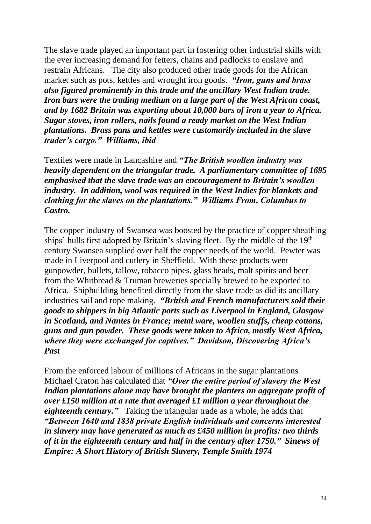The slave trade played an important part in fostering other industrial skills with the ever increasing demand for fetters, chains and padlocks to enslave and restrain Africans. The city also produced other trade goods for the African market such as pots, kettles and wrought iron goods. *"Iron, guns and brass also figured prominently in this trade and the ancillary West Indian trade. Iron bars were the trading medium on a large part of the West African coast, and by 1682 Britain was exporting about 10,000 bars of iron a year to Africa. Sugar stoves, iron rollers, nails found a ready market on the West Indian plantations. Brass pans and kettles were customarily included in the slave trader's cargo." Williams, ibid*

Textiles were made in Lancashire and *"The British woollen industry was heavily dependent on the triangular trade. A parliamentary committee of 1695 emphasised that the slave trade was an encouragement to Britain's woollen industry. In addition, wool was required in the West Indies for blankets and clothing for the slaves on the plantations." Williams From, Columbus to Castro.*

The copper industry of Swansea was boosted by the practice of copper sheathing ships' hulls first adopted by Britain's slaving fleet. By the middle of the 19<sup>th</sup> century Swansea supplied over half the copper needs of the world. Pewter was made in Liverpool and cutlery in Sheffield. With these products went gunpowder, bullets, tallow, tobacco pipes, glass beads, malt spirits and beer from the Whitbread & Truman breweries specially brewed to be exported to Africa. Shipbuilding benefited directly from the slave trade as did its ancillary industries sail and rope making. *"British and French manufacturers sold their goods to shippers in big Atlantic ports such as Liverpool in England, Glasgow in Scotland, and Nantes in France; metal ware, woollen stuffs, cheap cottons, guns and gun powder. These goods were taken to Africa, mostly West Africa, where they were exchanged for captives." Davidson, Discovering Africa's Past*

From the enforced labour of millions of Africans in the sugar plantations Michael Craton has calculated that *"Over the entire period of slavery the West Indian plantations alone may have brought the planters an aggregate profit of over £150 million at a rate that averaged £1 million a year throughout the eighteenth century."* Taking the triangular trade as a whole, he adds that *"Between 1640 and 1838 private English individuals and concerns interested in slavery may have generated as much as £450 million in profits: two thirds of it in the eighteenth century and half in the century after 1750." Sinews of Empire: A Short History of British Slavery, Temple Smith 1974*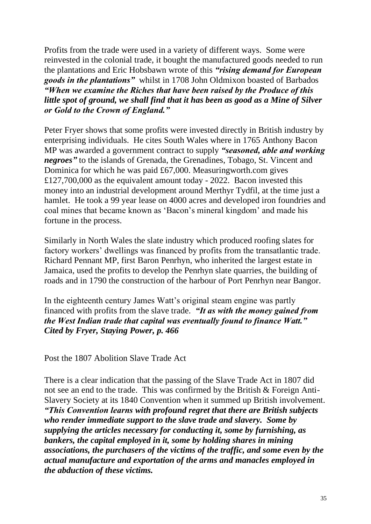Profits from the trade were used in a variety of different ways. Some were reinvested in the colonial trade, it bought the manufactured goods needed to run the plantations and Eric Hobsbawn wrote of this *"rising demand for European goods in the plantations"* whilst in 1708 John Oldmixon boasted of Barbados *"When we examine the Riches that have been raised by the Produce of this little spot of ground, we shall find that it has been as good as a Mine of Silver or Gold to the Crown of England."*

Peter Fryer shows that some profits were invested directly in British industry by enterprising individuals. He cites South Wales where in 1765 Anthony Bacon MP was awarded a government contract to supply *"seasoned, able and working negroes"* to the islands of Grenada, the Grenadines, Tobago, St. Vincent and Dominica for which he was paid £67,000. Measuringworth.com gives £127,700,000 as the equivalent amount today - 2022. Bacon invested this money into an industrial development around Merthyr Tydfil, at the time just a hamlet. He took a 99 year lease on 4000 acres and developed iron foundries and coal mines that became known as 'Bacon's mineral kingdom' and made his fortune in the process.

Similarly in North Wales the slate industry which produced roofing slates for factory workers' dwellings was financed by profits from the transatlantic trade. Richard Pennant MP, first Baron Penrhyn, who inherited the largest estate in Jamaica, used the profits to develop the Penrhyn slate quarries, the building of roads and in 1790 the construction of the harbour of Port Penrhyn near Bangor.

In the eighteenth century James Watt's original steam engine was partly financed with profits from the slave trade. *"It as with the money gained from the West Indian trade that capital was eventually found to finance Watt." Cited by Fryer, Staying Power, p. 466*

<span id="page-34-0"></span>Post the 1807 Abolition Slave Trade Act

There is a clear indication that the passing of the Slave Trade Act in 1807 did not see an end to the trade. This was confirmed by the British & Foreign Anti-Slavery Society at its 1840 Convention when it summed up British involvement. *"This Convention learns with profound regret that there are British subjects who render immediate support to the slave trade and slavery. Some by supplying the articles necessary for conducting it, some by furnishing, as bankers, the capital employed in it, some by holding shares in mining associations, the purchasers of the victims of the traffic, and some even by the actual manufacture and exportation of the arms and manacles employed in the abduction of these victims.*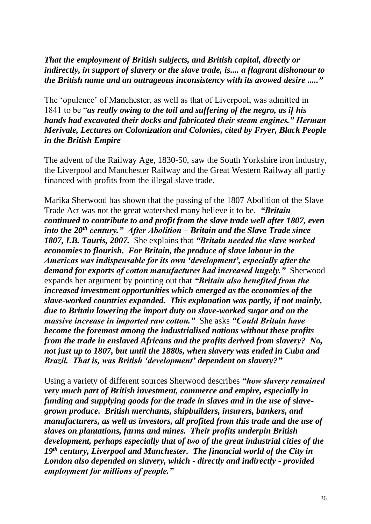*That the employment of British subjects, and British capital, directly or indirectly, in support of slavery or the slave trade, is.... a flagrant dishonour to the British name and an outrageous inconsistency with its avowed desire ....."*

The 'opulence' of Manchester, as well as that of Liverpool, was admitted in 1841 to be "*as really owing to the toil and suffering of the negro, as if his hands had excavated their docks and fabricated their steam engines." Herman Merivale, Lectures on Colonization and Colonies, cited by Fryer, Black People in the British Empire*

The advent of the Railway Age, 1830-50, saw the South Yorkshire iron industry, the Liverpool and Manchester Railway and the Great Western Railway all partly financed with profits from the illegal slave trade.

Marika Sherwood has shown that the passing of the 1807 Abolition of the Slave Trade Act was not the great watershed many believe it to be. *"Britain continued to contribute to and profit from the slave trade well after 1807, even into the 20th century." After Abolition – Britain and the Slave Trade since 1807, I.B. Tauris, 2007.* She explains that *"Britain needed the slave worked economies to flourish. For Britain, the produce of slave labour in the Americas was indispensable for its own 'development', especially after the demand for exports of cotton manufactures had increased hugely."* Sherwood expands her argument by pointing out that *"Britain also benefited from the increased investment opportunities which emerged as the economies of the slave-worked countries expanded. This explanation was partly, if not mainly, due to Britain lowering the import duty on slave-worked sugar and on the massive increase in imported raw cotton."* She asks *"Could Britain have become the foremost among the industrialised nations without these profits from the trade in enslaved Africans and the profits derived from slavery? No, not just up to 1807, but until the 1880s, when slavery was ended in Cuba and Brazil. That is, was British 'development' dependent on slavery?"*

Using a variety of different sources Sherwood describes *"how slavery remained very much part of British investment, commerce and empire, especially in funding and supplying goods for the trade in slaves and in the use of slavegrown produce. British merchants, shipbuilders, insurers, bankers, and manufacturers, as well as investors, all profited from this trade and the use of slaves on plantations, farms and mines. Their profits underpin British development, perhaps especially that of two of the great industrial cities of the 19th century, Liverpool and Manchester. The financial world of the City in London also depended on slavery, which - directly and indirectly - provided employment for millions of people."*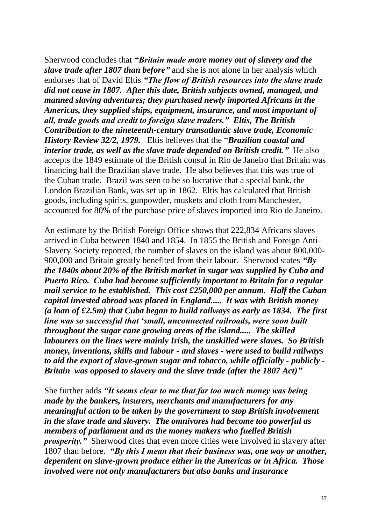Sherwood concludes that *"Britain made more money out of slavery and the slave trade after 1807 than before"* and she is not alone in her analysis which endorses that of David Eltis *"The flow of British resources into the slave trade did not cease in 1807. After this date, British subjects owned, managed, and manned slaving adventures; they purchased newly imported Africans in the Americas, they supplied ships, equipment, insurance, and most important of all, trade goods and credit to foreign slave traders." Eltis, The British Contribution to the nineteenth-century transatlantic slave trade, Economic History Review 32/2, 1979.* Eltis believes that the "*Brazilian coastal and interior trade, as well as the slave trade depended on British credit."* He also accepts the 1849 estimate of the British consul in Rio de Janeiro that Britain was financing half the Brazilian slave trade. He also believes that this was true of the Cuban trade. Brazil was seen to be so lucrative that a special bank, the London Brazilian Bank, was set up in 1862. Eltis has calculated that British goods, including spirits, gunpowder, muskets and cloth from Manchester, accounted for 80% of the purchase price of slaves imported into Rio de Janeiro.

An estimate by the British Foreign Office shows that 222,834 Africans slaves arrived in Cuba between 1840 and 1854. In 1855 the British and Foreign Anti-Slavery Society reported, the number of slaves on the island was about 800,000- 900,000 and Britain greatly benefited from their labour. Sherwood states *"By the 1840s about 20% of the British market in sugar was supplied by Cuba and Puerto Rico. Cuba had become sufficiently important to Britain for a regular mail service to be established. This cost £250,000 per annum. Half the Cuban capital invested abroad was placed in England..... It was with British money (a loan of £2.5m) that Cuba began to build railways as early as 1834. The first line was so successful that 'small, unconnected railroads, were soon built throughout the sugar cane growing areas of the island..... The skilled labourers on the lines were mainly Irish, the unskilled were slaves. So British money, inventions, skills and labour - and slaves - were used to build railways to aid the export of slave-grown sugar and tobacco, while officially - publicly - Britain was opposed to slavery and the slave trade (after the 1807 Act)"*

She further adds *"It seems clear to me that far too much money was being made by the bankers, insurers, merchants and manufacturers for any meaningful action to be taken by the government to stop British involvement in the slave trade and slavery. The omnivores had become too powerful as members of parliament and as the money makers who fuelled British prosperity.* Sherwood cites that even more cities were involved in slavery after 1807 than before. *"By this I mean that their business was, one way or another, dependent on slave-grown produce either in the Americas or in Africa. Those involved were not only manufacturers but also banks and insurance*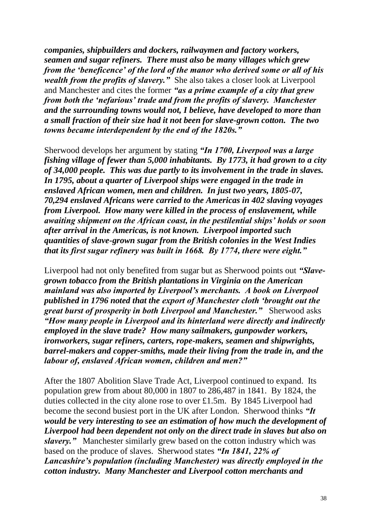*companies, shipbuilders and dockers, railwaymen and factory workers, seamen and sugar refiners. There must also be many villages which grew from the 'beneficence' of the lord of the manor who derived some or all of his wealth from the profits of slavery.*" She also takes a closer look at Liverpool and Manchester and cites the former *"as a prime example of a city that grew from both the 'nefarious' trade and from the profits of slavery. Manchester and the surrounding towns would not, I believe, have developed to more than a small fraction of their size had it not been for slave-grown cotton. The two towns became interdependent by the end of the 1820s."*

Sherwood develops her argument by stating *"In 1700, Liverpool was a large fishing village of fewer than 5,000 inhabitants. By 1773, it had grown to a city of 34,000 people. This was due partly to its involvement in the trade in slaves. In 1795, about a quarter of Liverpool ships were engaged in the trade in enslaved African women, men and children. In just two years, 1805-07, 70,294 enslaved Africans were carried to the Americas in 402 slaving voyages from Liverpool. How many were killed in the process of enslavement, while awaiting shipment on the African coast, in the pestilential ships' holds or soon after arrival in the Americas, is not known. Liverpool imported such quantities of slave-grown sugar from the British colonies in the West Indies that its first sugar refinery was built in 1668. By 1774, there were eight."*

Liverpool had not only benefited from sugar but as Sherwood points out *"Slavegrown tobacco from the British plantations in Virginia on the American mainland was also imported by Liverpool's merchants. A book on Liverpool published in 1796 noted that the export of Manchester cloth 'brought out the great burst of prosperity in both Liverpool and Manchester."* Sherwood asks *"How many people in Liverpool and its hinterland were directly and indirectly employed in the slave trade? How many sailmakers, gunpowder workers, ironworkers, sugar refiners, carters, rope-makers, seamen and shipwrights, barrel-makers and copper-smiths, made their living from the trade in, and the labour of, enslaved African women, children and men?"* 

After the 1807 Abolition Slave Trade Act, Liverpool continued to expand. Its population grew from about 80,000 in 1807 to 286,487 in 1841. By 1824, the duties collected in the city alone rose to over £1.5m. By 1845 Liverpool had become the second busiest port in the UK after London. Sherwood thinks *"It would be very interesting to see an estimation of how much the development of Liverpool had been dependent not only on the direct trade in slaves but also on slavery."* Manchester similarly grew based on the cotton industry which was based on the produce of slaves. Sherwood states *"In 1841, 22% of Lancashire's population (including Manchester) was directly employed in the cotton industry. Many Manchester and Liverpool cotton merchants and*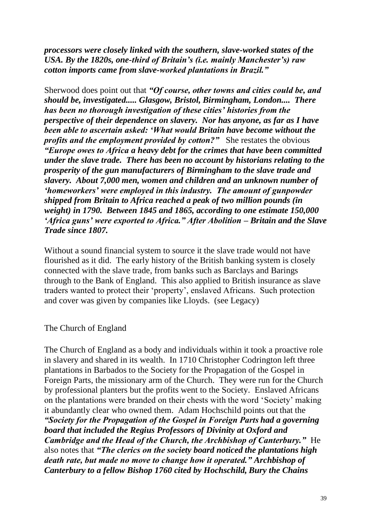*processors were closely linked with the southern, slave-worked states of the USA. By the 1820s, one-third of Britain's (i.e. mainly Manchester's) raw cotton imports came from slave-worked plantations in Brazil."*

Sherwood does point out that *"Of course, other towns and cities could be, and should be, investigated..... Glasgow, Bristol, Birmingham, London.... There has been no thorough investigation of these cities' histories from the perspective of their dependence on slavery. Nor has anyone, as far as I have been able to ascertain asked: 'What would Britain have become without the profits and the employment provided by cotton?"* She restates the obvious *"Europe owes to Africa a heavy debt for the crimes that have been committed under the slave trade. There has been no account by historians relating to the prosperity of the gun manufacturers of Birmingham to the slave trade and slavery. About 7,000 men, women and children and an unknown number of 'homeworkers' were employed in this industry. The amount of gunpowder shipped from Britain to Africa reached a peak of two million pounds (in weight) in 1790. Between 1845 and 1865, according to one estimate 150,000 'Africa guns' were exported to Africa." After Abolition – Britain and the Slave Trade since 1807.*

Without a sound financial system to source it the slave trade would not have flourished as it did. The early history of the British banking system is closely connected with the slave trade, from banks such as Barclays and Barings through to the Bank of England. This also applied to British insurance as slave traders wanted to protect their 'property', enslaved Africans. Such protection and cover was given by companies like Lloyds. (see Legacy)

The Church of England

The Church of England as a body and individuals within it took a proactive role in slavery and shared in its wealth. In 1710 Christopher Codrington left three plantations in Barbados to the Society for the Propagation of the Gospel in Foreign Parts, the missionary arm of the Church. They were run for the Church by professional planters but the profits went to the Society. Enslaved Africans on the plantations were branded on their chests with the word 'Society' making it abundantly clear who owned them. Adam Hochschild points out that the *"Society for the Propagation of the Gospel in Foreign Parts had a governing board that included the Regius Professors of Divinity at Oxford and Cambridge and the Head of the Church, the Archbishop of Canterbury."* He also notes that *"The clerics on the society board noticed the plantations high death rate, but made no move to change how it operated." Archbishop of Canterbury to a fellow Bishop 1760 cited by Hochschild, Bury the Chains*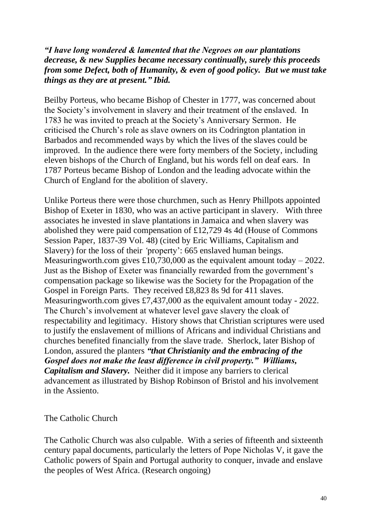*"I have long wondered & lamented that the Negroes on our plantations decrease, & new Supplies became necessary continually, surely this proceeds from some Defect, both of Humanity, & even of good policy. But we must take things as they are at present." Ibid.* 

Beilby Porteus, who became Bishop of Chester in 1777, was concerned about the Society's involvement in slavery and their treatment of the enslaved. In 1783 he was invited to preach at the Society's Anniversary Sermon. He criticised the Church's role as slave owners on its Codrington plantation in Barbados and recommended ways by which the lives of the slaves could be improved. In the audience there were forty members of the Society, including eleven bishops of the Church of England, but his words fell on deaf ears. In 1787 Porteus became Bishop of London and the leading advocate within the Church of England for the abolition of slavery.

Unlike Porteus there were those churchmen, such as Henry Phillpots appointed Bishop of Exeter in 1830, who was an active participant in slavery. With three associates he invested in slave plantations in Jamaica and when slavery was abolished they were paid compensation of £12,729 4s 4d (House of Commons Session Paper, 1837-39 Vol. 48) (cited by Eric Williams, Capitalism and Slavery) for the loss of their *'*property': 665 enslaved human beings. Measuringworth.com gives £10,730,000 as the equivalent amount today  $-2022$ . Just as the Bishop of Exeter was financially rewarded from the government's compensation package so likewise was the Society for the Propagation of the Gospel in Foreign Parts. They received £8,823 8s 9d for 411 slaves. Measuringworth.com gives £7,437,000 as the equivalent amount today - 2022. The Church's involvement at whatever level gave slavery the cloak of respectability and legitimacy. History shows that Christian scriptures were used to justify the enslavement of millions of Africans and individual Christians and churches benefited financially from the slave trade. Sherlock, later Bishop of London, assured the planters *"that Christianity and the embracing of the Gospel does not make the least difference in civil property." Williams, Capitalism and Slavery.* Neither did it impose any barriers to clerical advancement as illustrated by Bishop Robinson of Bristol and his involvement in the Assiento.

The Catholic Church

The Catholic Church was also culpable. With a series of fifteenth and sixteenth century papal documents, particularly the letters of Pope Nicholas V, it gave the Catholic powers of Spain and Portugal authority to conquer, invade and enslave the peoples of West Africa. (Research ongoing)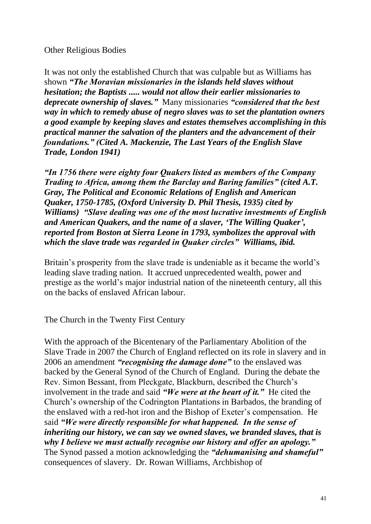### Other Religious Bodies

It was not only the established Church that was culpable but as Williams has shown *"The Moravian missionaries in the islands held slaves without hesitation; the Baptists ..... would not allow their earlier missionaries to deprecate ownership of slaves."* Many missionaries *"considered that the best way in which to remedy abuse of negro slaves was to set the plantation owners a good example by keeping slaves and estates themselves accomplishing in this practical manner the salvation of the planters and the advancement of their foundations." (Cited A. Mackenzie, The Last Years of the English Slave Trade, London 1941)*

*"In 1756 there were eighty four Quakers listed as members of the Company Trading to Africa, among them the Barclay and Baring families" (cited A.T. Gray, The Political and Economic Relations of English and American Quaker, 1750-1785, (Oxford University D. Phil Thesis, 1935) cited by Williams) "Slave dealing was one of the most lucrative investments of English and American Quakers, and the name of a slaver, 'The Willing Quaker', reported from Boston at Sierra Leone in 1793, symbolizes the approval with which the slave trade was regarded in Quaker circles" Williams, ibid.*

Britain's prosperity from the slave trade is undeniable as it became the world's leading slave trading nation. It accrued unprecedented wealth, power and prestige as the world's major industrial nation of the nineteenth century, all this on the backs of enslaved African labour.

The Church in the Twenty First Century

With the approach of the Bicentenary of the Parliamentary Abolition of the Slave Trade in 2007 the Church of England reflected on its role in slavery and in 2006 an amendment *"recognising the damage done"* to the enslaved was backed by the General Synod of the Church of England. During the debate the Rev. Simon Bessant, from Pleckgate, Blackburn, described the Church's involvement in the trade and said *"We were at the heart of it."* He cited the Church's ownership of the Codrington Plantations in Barbados, the branding of the enslaved with a red-hot iron and the Bishop of Exeter's compensation. He said *"We were directly responsible for what happened. In the sense of inheriting our history, we can say we owned slaves, we branded slaves, that is why I believe we must actually recognise our history and offer an apology."*  The Synod passed a motion acknowledging the *"dehumanising and shameful"*  consequences of slavery. Dr. Rowan Williams, Archbishop of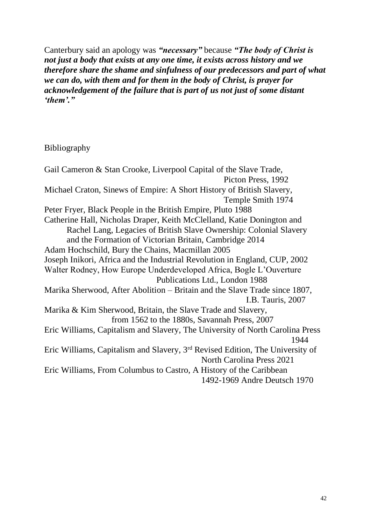Canterbury said an apology was *"necessary"* because *"The body of Christ is not just a body that exists at any one time, it exists across history and we therefore share the shame and sinfulness of our predecessors and part of what we can do, with them and for them in the body of Christ, is prayer for acknowledgement of the failure that is part of us not just of some distant 'them'."*

# Bibliography

Gail Cameron & Stan Crooke, Liverpool Capital of the Slave Trade, Picton Press, 1992 Michael Craton, Sinews of Empire: A Short History of British Slavery, Temple Smith 1974 Peter Fryer, Black People in the British Empire, Pluto 1988 Catherine Hall, Nicholas Draper, Keith McClelland, Katie Donington and Rachel Lang, Legacies of British Slave Ownership: Colonial Slavery and the Formation of Victorian Britain, Cambridge 2014 Adam Hochschild, Bury the Chains, Macmillan 2005 Joseph Inikori, Africa and the Industrial Revolution in England, CUP, 2002 Walter Rodney, How Europe Underdeveloped Africa, Bogle L'Ouverture Publications Ltd., London 1988 Marika Sherwood, After Abolition – Britain and the Slave Trade since 1807, I.B. Tauris, 2007 Marika & Kim Sherwood, Britain, the Slave Trade and Slavery, from 1562 to the 1880s, Savannah Press, 2007 Eric Williams, Capitalism and Slavery, The University of North Carolina Press 1944 Eric Williams, Capitalism and Slavery, 3rd Revised Edition, The University of North Carolina Press 2021 Eric Williams, From Columbus to Castro, A History of the Caribbean 1492-1969 Andre Deutsch 1970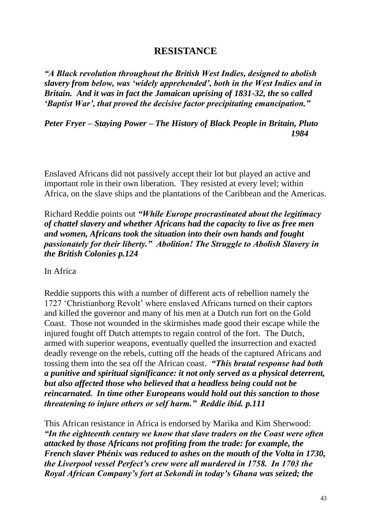# **RESISTANCE**

*"A Black revolution throughout the British West Indies, designed to abolish slavery from below, was 'widely apprehended', both in the West Indies and in Britain. And it was in fact the Jamaican uprising of 1831-32, the so called 'Baptist War', that proved the decisive factor precipitating emancipation."*

*Peter Fryer – Staying Power – The History of Black People in Britain, Pluto 1984*

Enslaved Africans did not passively accept their lot but played an active and important role in their own liberation. They resisted at every level; within Africa, on the slave ships and the plantations of the Caribbean and the Americas.

Richard Reddie points out *"While Europe procrastinated about the legitimacy of chattel slavery and whether Africans had the capacity to live as free men and women, Africans took the situation into their own hands and fought passionately for their liberty." Abolition! The Struggle to Abolish Slavery in the British Colonies p.124*

In Africa

Reddie supports this with a number of different acts of rebellion namely the 1727 'Christianborg Revolt' where enslaved Africans turned on their captors and killed the governor and many of his men at a Dutch run fort on the Gold Coast. Those not wounded in the skirmishes made good their escape while the injured fought off Dutch attempts to regain control of the fort. The Dutch, armed with superior weapons, eventually quelled the insurrection and exacted deadly revenge on the rebels, cutting off the heads of the captured Africans and tossing them into the sea off the African coast. *"This brutal response had both a punitive and spiritual significance: it not only served as a physical deterrent, but also affected those who believed that a headless being could not be reincarnated. In time other Europeans would hold out this sanction to those threatening to injure others or self harm." Reddie ibid. p.111*

This African resistance in Africa is endorsed by Marika and Kim Sherwood: *"In the eighteenth century we know that slave traders on the Coast were often attacked by those Africans not profiting from the trade: for example, the French slaver Phénix was reduced to ashes on the mouth of the Volta in 1730, the Liverpool vessel Perfect's crew were all murdered in 1758. In 1703 the Royal African Company's fort at Sekondi in today's Ghana was seized; the*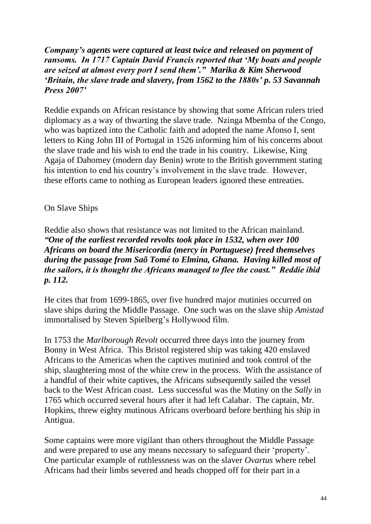# *Company's agents were captured at least twice and released on payment of ransoms. In 1717 Captain David Francis reported that 'My boats and people are seized at almost every port I send them'." Marika & Kim Sherwood 'Britain, the slave trade and slavery, from 1562 to the 1880s' p. 53 Savannah Press 2007'*

Reddie expands on African resistance by showing that some African rulers tried diplomacy as a way of thwarting the slave trade. Nzinga Mbemba of the Congo, who was baptized into the Catholic faith and adopted the name Afonso I, sent letters to King John III of Portugal in 1526 informing him of his concerns about the slave trade and his wish to end the trade in his country. Likewise, King Agaja of Dahomey (modern day Benin) wrote to the British government stating his intention to end his country's involvement in the slave trade. However, these efforts came to nothing as European leaders ignored these entreaties.

# On Slave Ships

Reddie also shows that resistance was not limited to the African mainland. *"One of the earliest recorded revolts took place in 1532, when over 100 Africans on board the Misericordia (mercy in Portuguese) freed themselves during the passage from Saõ Tomé to Elmina, Ghana. Having killed most of the sailors, it is thought the Africans managed to flee the coast." Reddie ibid p. 112.*

He cites that from 1699-1865, over five hundred major mutinies occurred on slave ships during the Middle Passage. One such was on the slave ship *Amistad* immortalised by Steven Spielberg's Hollywood film.

In 1753 the *Marlborough Revolt* occurred three days into the journey from Bonny in West Africa. This Bristol registered ship was taking 420 enslaved Africans to the Americas when the captives mutinied and took control of the ship, slaughtering most of the white crew in the process. With the assistance of a handful of their white captives, the Africans subsequently sailed the vessel back to the West African coast. Less successful was the Mutiny on the *Sally* in 1765 which occurred several hours after it had left Calabar. The captain, Mr. Hopkins, threw eighty mutinous Africans overboard before berthing his ship in Antigua.

Some captains were more vigilant than others throughout the Middle Passage and were prepared to use any means necessary to safeguard their 'property'. One particular example of ruthlessness was on the slaver *Ovartus* where rebel Africans had their limbs severed and heads chopped off for their part in a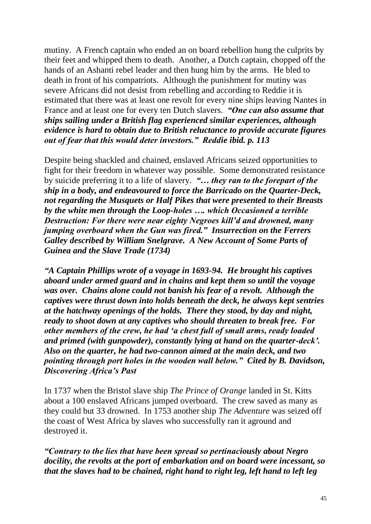mutiny. A French captain who ended an on board rebellion hung the culprits by their feet and whipped them to death. Another, a Dutch captain, chopped off the hands of an Ashanti rebel leader and then hung him by the arms. He bled to death in front of his compatriots. Although the punishment for mutiny was severe Africans did not desist from rebelling and according to Reddie it is estimated that there was at least one revolt for every nine ships leaving Nantes in France and at least one for every ten Dutch slavers. *"One can also assume that ships sailing under a British flag experienced similar experiences, although evidence is hard to obtain due to British reluctance to provide accurate figures out of fear that this would deter investors." Reddie ibid. p. 113*

Despite being shackled and chained, enslaved Africans seized opportunities to fight for their freedom in whatever way possible. Some demonstrated resistance by suicide preferring it to a life of slavery. *"… they ran to the forepart of the ship in a body, and endeavoured to force the Barricado on the Quarter-Deck, not regarding the Musquets or Half Pikes that were presented to their Breasts by the white men through the Loop-holes …. which Occasioned a terrible Destruction: For there were near eighty Negroes kill'd and drowned, many jumping overboard when the Gun was fired." Insurrection on the Ferrers Galley described by William Snelgrave. A New Account of Some Parts of Guinea and the Slave Trade (1734)*

*"A Captain Phillips wrote of a voyage in 1693-94. He brought his captives aboard under armed guard and in chains and kept them so until the voyage was over. Chains alone could not banish his fear of a revolt. Although the captives were thrust down into holds beneath the deck, he always kept sentries at the hatchway openings of the holds. There they stood, by day and night, ready to shoot down at any captives who should threaten to break free. For other members of the crew, he had 'a chest full of small arms, ready loaded and primed (with gunpowder), constantly lying at hand on the quarter-deck'. Also on the quarter, he had two-cannon aimed at the main deck, and two pointing through port holes in the wooden wall below." Cited by B. Davidson, Discovering Africa's Past* 

In 1737 when the Bristol slave ship *The Prince of Orange* landed in St. Kitts about a 100 enslaved Africans jumped overboard. The crew saved as many as they could but 33 drowned. In 1753 another ship *The Adventure* was seized off the coast of West Africa by slaves who successfully ran it aground and destroyed it.

*"Contrary to the lies that have been spread so pertinaciously about Negro docility, the revolts at the port of embarkation and on board were incessant, so that the slaves had to be chained, right hand to right leg, left hand to left leg*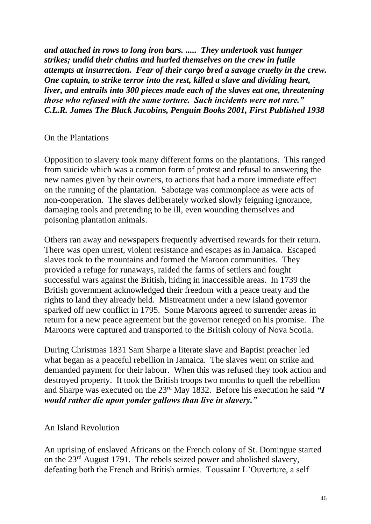*and attached in rows to long iron bars. ..... They undertook vast hunger strikes; undid their chains and hurled themselves on the crew in futile attempts at insurrection. Fear of their cargo bred a savage cruelty in the crew. One captain, to strike terror into the rest, killed a slave and dividing heart, liver, and entrails into 300 pieces made each of the slaves eat one, threatening those who refused with the same torture. Such incidents were not rare." C.L.R. James The Black Jacobins, Penguin Books 2001, First Published 1938*

#### On the Plantations

Opposition to slavery took many different forms on the plantations. This ranged from suicide which was a common form of protest and refusal to answering the new names given by their owners, to actions that had a more immediate effect on the running of the plantation. Sabotage was commonplace as were acts of non-cooperation. The slaves deliberately worked slowly feigning ignorance, damaging tools and pretending to be ill, even wounding themselves and poisoning plantation animals.

Others ran away and newspapers frequently advertised rewards for their return. There was open unrest, violent resistance and escapes as in Jamaica. Escaped slaves took to the mountains and formed the Maroon communities. They provided a refuge for runaways, raided the farms of settlers and fought successful wars against the British, hiding in inaccessible areas. In 1739 the British government acknowledged their freedom with a peace treaty and the rights to land they already held. Mistreatment under a new island governor sparked off new conflict in 1795. Some Maroons agreed to surrender areas in return for a new peace agreement but the governor reneged on his promise. The Maroons were captured and transported to the British colony of Nova Scotia.

During Christmas 1831 Sam Sharpe a literate slave and Baptist preacher led what began as a peaceful rebellion in Jamaica. The slaves went on strike and demanded payment for their labour. When this was refused they took action and destroyed property. It took the British troops two months to quell the rebellion and Sharpe was executed on the 23rd May 1832. Before his execution he said *"I would rather die upon yonder gallows than live in slavery."*

# An Island Revolution

An uprising of enslaved Africans on the French colony of St. Domingue started on the 23rd August 1791. The rebels seized power and abolished slavery, defeating both the French and British armies. Toussaint L'Ouverture, a self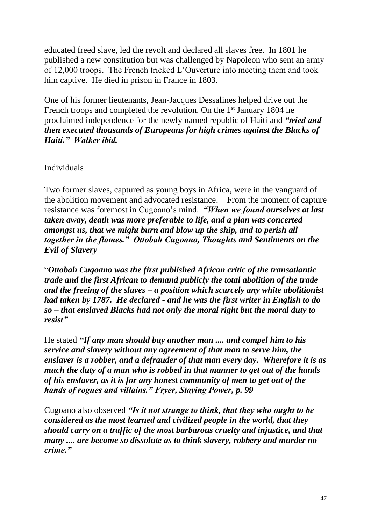educated freed slave, led the revolt and declared all slaves free. In 1801 he published a new constitution but was challenged by Napoleon who sent an army of 12,000 troops. The French tricked L'Ouverture into meeting them and took him captive. He died in prison in France in 1803.

One of his former lieutenants, Jean-Jacques Dessalines helped drive out the French troops and completed the revolution. On the 1<sup>st</sup> January 1804 he proclaimed independence for the newly named republic of Haiti and *"tried and then executed thousands of Europeans for high crimes against the Blacks of Haiti." Walker ibid.*

# Individuals

Two former slaves, captured as young boys in Africa, were in the vanguard of the abolition movement and advocated resistance. From the moment of capture resistance was foremost in Cugoano's mind. *"When we found ourselves at last taken away, death was more preferable to life, and a plan was concerted amongst us, that we might burn and blow up the ship, and to perish all together in the flames." Ottobah Cugoano, Thoughts and Sentiments on the Evil of Slavery*

"*Ottobah Cugoano was the first published African critic of the transatlantic trade and the first African to demand publicly the total abolition of the trade and the freeing of the slaves – a position which scarcely any white abolitionist had taken by 1787. He declared - and he was the first writer in English to do so – that enslaved Blacks had not only the moral right but the moral duty to resist"*

He stated *"If any man should buy another man .... and compel him to his service and slavery without any agreement of that man to serve him, the enslaver is a robber, and a defrauder of that man every day. Wherefore it is as much the duty of a man who is robbed in that manner to get out of the hands of his enslaver, as it is for any honest community of men to get out of the hands of rogues and villains." Fryer, Staying Power, p. 99*

Cugoano also observed *"Is it not strange to think, that they who ought to be considered as the most learned and civilized people in the world, that they should carry on a traffic of the most barbarous cruelty and injustice, and that many .... are become so dissolute as to think slavery, robbery and murder no crime."*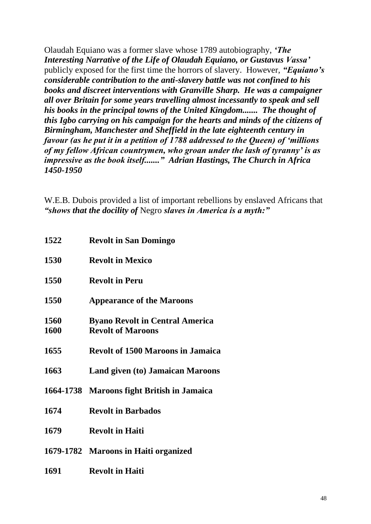Olaudah Equiano was a former slave whose 1789 autobiography, *'The Interesting Narrative of the Life of Olaudah Equiano, or Gustavus Vassa'* publicly exposed for the first time the horrors of slavery. However, *"Equiano's considerable contribution to the anti-slavery battle was not confined to his books and discreet interventions with Granville Sharp. He was a campaigner all over Britain for some years travelling almost incessantly to speak and sell his books in the principal towns of the United Kingdom....... The thought of this Igbo carrying on his campaign for the hearts and minds of the citizens of Birmingham, Manchester and Sheffield in the late eighteenth century in favour (as he put it in a petition of 1788 addressed to the Queen) of 'millions of my fellow African countrymen, who groan under the lash of tyranny' is as impressive as the book itself......." Adrian Hastings, The Church in Africa 1450-1950*

W.E.B. Dubois provided a list of important rebellions by enslaved Africans that *"shows that the docility of* Negro *slaves in America is a myth:"*

| 1522         | <b>Revolt in San Domingo</b>                                       |
|--------------|--------------------------------------------------------------------|
| 1530         | <b>Revolt in Mexico</b>                                            |
| 1550         | <b>Revolt in Peru</b>                                              |
| 1550         | <b>Appearance of the Maroons</b>                                   |
| 1560<br>1600 | <b>Byano Revolt in Central America</b><br><b>Revolt of Maroons</b> |
| 1655         | <b>Revolt of 1500 Maroons in Jamaica</b>                           |
| 1663         | <b>Land given (to) Jamaican Maroons</b>                            |
| 1664-1738    | <b>Maroons fight British in Jamaica</b>                            |
| 1674         | <b>Revolt in Barbados</b>                                          |
| 1679         | <b>Revolt in Haiti</b>                                             |
|              | 1679-1782 Maroons in Haiti organized                               |
| 1691         | <b>Revolt in Haiti</b>                                             |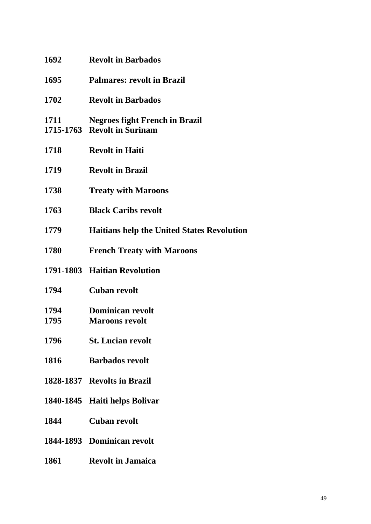| 1692         | <b>Revolt in Barbados</b>                                            |
|--------------|----------------------------------------------------------------------|
| 1695         | <b>Palmares: revolt in Brazil</b>                                    |
| 1702         | <b>Revolt in Barbados</b>                                            |
| 1711         | <b>Negroes fight French in Brazil</b><br>1715-1763 Revolt in Surinam |
| 1718         | <b>Revolt in Haiti</b>                                               |
| 1719         | <b>Revolt in Brazil</b>                                              |
| 1738         | <b>Treaty with Maroons</b>                                           |
| 1763         | <b>Black Caribs revolt</b>                                           |
| 1779         | <b>Haitians help the United States Revolution</b>                    |
| 1780         | <b>French Treaty with Maroons</b>                                    |
|              | 1791-1803 Haitian Revolution                                         |
| 1794         | <b>Cuban revolt</b>                                                  |
| 1794<br>1795 | <b>Dominican revolt</b><br><b>Maroons revolt</b>                     |
| 1796         | <b>St. Lucian revolt</b>                                             |
| 1816         | <b>Barbados revolt</b>                                               |
|              | 1828-1837 Revolts in Brazil                                          |
|              | 1840-1845 Haiti helps Bolivar                                        |
| 1844         | <b>Cuban revolt</b>                                                  |
|              | 1844-1893 Dominican revolt                                           |
| 1861         | <b>Revolt in Jamaica</b>                                             |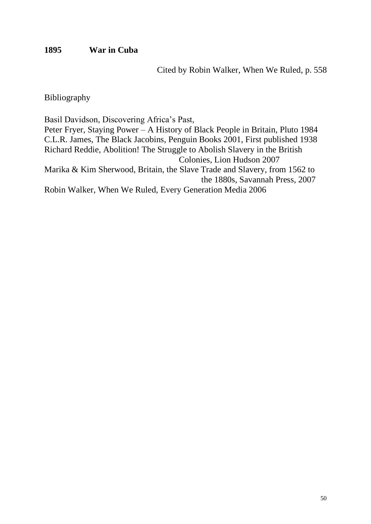# **1895 War in Cuba**

Cited by Robin Walker, When We Ruled, p. 558

Bibliography

Basil Davidson, Discovering Africa's Past,

Peter Fryer, Staying Power – A History of Black People in Britain, Pluto 1984 C.L.R. James, The Black Jacobins, Penguin Books 2001, First published 1938 Richard Reddie, Abolition! The Struggle to Abolish Slavery in the British Colonies, Lion Hudson 2007 Marika & Kim Sherwood, Britain, the Slave Trade and Slavery, from 1562 to the 1880s, Savannah Press, 2007 Robin Walker, When We Ruled, Every Generation Media 2006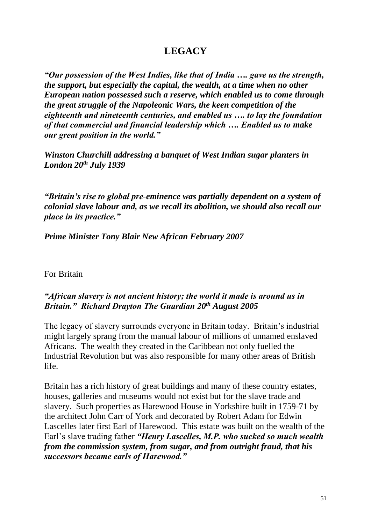# **LEGACY**

*"Our possession of the West Indies, like that of India …. gave us the strength, the support, but especially the capital, the wealth, at a time when no other European nation possessed such a reserve, which enabled us to come through the great struggle of the Napoleonic Wars, the keen competition of the eighteenth and nineteenth centuries, and enabled us …. to lay the foundation of that commercial and financial leadership which …. Enabled us to make our great position in the world."*

*Winston Churchill addressing a banquet of West Indian sugar planters in London 20th July 1939*

*"Britain's rise to global pre-eminence was partially dependent on a system of colonial slave labour and, as we recall its abolition, we should also recall our place in its practice."*

*Prime Minister Tony Blair New African February 2007*

For Britain

# *"African slavery is not ancient history; the world it made is around us in Britain." Richard Drayton The Guardian 20 th August 2005*

The legacy of slavery surrounds everyone in Britain today. Britain's industrial might largely sprang from the manual labour of millions of unnamed enslaved Africans. The wealth they created in the Caribbean not only fuelled the Industrial Revolution but was also responsible for many other areas of British life.

Britain has a rich history of great buildings and many of these country estates, houses, galleries and museums would not exist but for the slave trade and slavery. Such properties as Harewood House in Yorkshire built in 1759-71 by the architect John Carr of York and decorated by Robert Adam for Edwin Lascelles later first Earl of Harewood. This estate was built on the wealth of the Earl's slave trading father *"Henry Lascelles, M.P. who sucked so much wealth from the commission system, from sugar, and from outright fraud, that his successors became earls of Harewood."*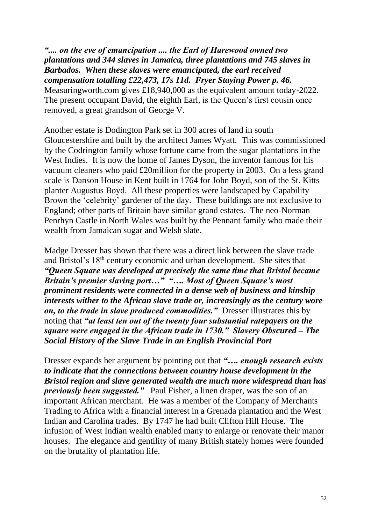*".... on the eve of emancipation .... the Earl of Harewood owned two plantations and 344 slaves in Jamaica, three plantations and 745 slaves in Barbados. When these slaves were emancipated, the earl received compensation totalling £22,473, 17s 11d. Fryer Staying Power p. 46.*  Measuringworth.com gives £18,940,000 as the equivalent amount today-2022. The present occupant David, the eighth Earl, is the Queen's first cousin once removed, a great grandson of George V.

Another estate is Dodington Park set in 300 acres of land in south Gloucestershire and built by the architect James Wyatt. This was commissioned by the Codrington family whose fortune came from the sugar plantations in the West Indies. It is now the home of James Dyson, the inventor famous for his vacuum cleaners who paid £20million for the property in 2003. On a less grand scale is Danson House in Kent built in 1764 for John Boyd, son of the St. Kitts planter Augustus Boyd. All these properties were landscaped by Capability Brown the 'celebrity' gardener of the day. These buildings are not exclusive to England; other parts of Britain have similar grand estates. The neo-Norman Penrhyn Castle in North Wales was built by the Pennant family who made their wealth from Jamaican sugar and Welsh slate.

Madge Dresser has shown that there was a direct link between the slave trade and Bristol's 18th century economic and urban development. She sites that *"Queen Square was developed at precisely the same time that Bristol became Britain's premier slaving port…" "…. Most of Queen Square's most prominent residents were connected in a dense web of business and kinship interests wither to the African slave trade or, increasingly as the century wore on, to the trade in slave produced commodities."* Dresser illustrates this by noting that *"at least ten out of the twenty four substantial ratepayers on the square were engaged in the African trade in 1730." Slavery Obscured – The Social History of the Slave Trade in an English Provincial Port*

Dresser expands her argument by pointing out that *"…. enough research exists to indicate that the connections between country house development in the Bristol region and slave generated wealth are much more widespread than has previously been suggested."* Paul Fisher, a linen draper, was the son of an important African merchant. He was a member of the Company of Merchants Trading to Africa with a financial interest in a Grenada plantation and the West Indian and Carolina trades. By 1747 he had built Clifton Hill House. The infusion of West Indian wealth enabled many to enlarge or renovate their manor houses. The elegance and gentility of many British stately homes were founded on the brutality of plantation life.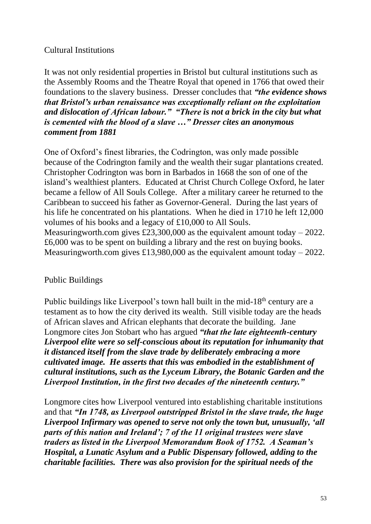# Cultural Institutions

It was not only residential properties in Bristol but cultural institutions such as the Assembly Rooms and the Theatre Royal that opened in 1766 that owed their foundations to the slavery business. Dresser concludes that *"the evidence shows that Bristol's urban renaissance was exceptionally reliant on the exploitation and dislocation of African labour." "There is not a brick in the city but what is cemented with the blood of a slave …" Dresser cites an anonymous comment from 1881*

One of Oxford's finest libraries, the Codrington, was only made possible because of the Codrington family and the wealth their sugar plantations created. Christopher Codrington was born in Barbados in 1668 the son of one of the island's wealthiest planters. Educated at Christ Church College Oxford, he later became a fellow of All Souls College. After a military career he returned to the Caribbean to succeed his father as Governor-General. During the last years of his life he concentrated on his plantations. When he died in 1710 he left 12,000 volumes of his books and a legacy of £10,000 to All Souls. Measuringworth.com gives £23,300,000 as the equivalent amount today  $-2022$ . £6,000 was to be spent on building a library and the rest on buying books. Measuringworth.com gives £13,980,000 as the equivalent amount today  $-$  2022.

# Public Buildings

Public buildings like Liverpool's town hall built in the mid-18<sup>th</sup> century are a testament as to how the city derived its wealth. Still visible today are the heads of African slaves and African elephants that decorate the building. Jane Longmore cites Jon Stobart who has argued *"that the late eighteenth-century Liverpool elite were so self-conscious about its reputation for inhumanity that it distanced itself from the slave trade by deliberately embracing a more cultivated image. He asserts that this was embodied in the establishment of cultural institutions, such as the Lyceum Library, the Botanic Garden and the Liverpool Institution, in the first two decades of the nineteenth century."*

Longmore cites how Liverpool ventured into establishing charitable institutions and that *"In 1748, as Liverpool outstripped Bristol in the slave trade, the huge Liverpool Infirmary was opened to serve not only the town but, unusually, 'all parts of this nation and Ireland'; 7 of the 11 original trustees were slave traders as listed in the Liverpool Memorandum Book of 1752. A Seaman's Hospital, a Lunatic Asylum and a Public Dispensary followed, adding to the charitable facilities. There was also provision for the spiritual needs of the*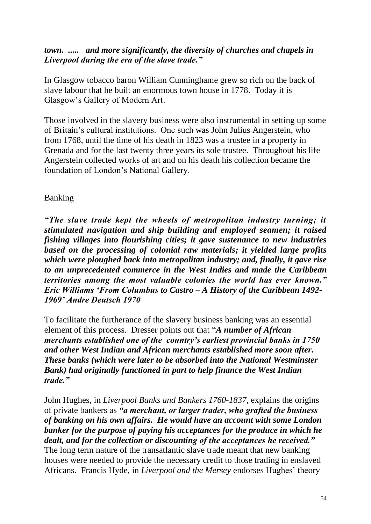# *town. ..... and more significantly, the diversity of churches and chapels in Liverpool during the era of the slave trade."*

In Glasgow tobacco baron William Cunninghame grew so rich on the back of slave labour that he built an enormous town house in 1778. Today it is Glasgow's Gallery of Modern Art.

Those involved in the slavery business were also instrumental in setting up some of Britain's cultural institutions. One such was John Julius Angerstein, who from 1768, until the time of his death in 1823 was a trustee in a property in Grenada and for the last twenty three years its sole trustee. Throughout his life Angerstein collected works of art and on his death his collection became the foundation of London's National Gallery.

# Banking

*"The slave trade kept the wheels of metropolitan industry turning; it stimulated navigation and ship building and employed seamen; it raised fishing villages into flourishing cities; it gave sustenance to new industries based on the processing of colonial raw materials; it yielded large profits which were ploughed back into metropolitan industry; and, finally, it gave rise to an unprecedented commerce in the West Indies and made the Caribbean territories among the most valuable colonies the world has ever known." Eric Williams 'From Columbus to Castro – A History of the Caribbean 1492- 1969' Andre Deutsch 1970*

To facilitate the furtherance of the slavery business banking was an essential element of this process. Dresser points out that "*A number of African merchants established one of the country's earliest provincial banks in 1750 and other West Indian and African merchants established more soon after. These banks (which were later to be absorbed into the National Westminster Bank) had originally functioned in part to help finance the West Indian trade."*

John Hughes, in *Liverpool Banks and Bankers 1760-1837*, explains the origins of private bankers as *"a merchant, or larger trader, who grafted the business of banking on his own affairs. He would have an account with some London banker for the purpose of paying his acceptances for the produce in which he dealt, and for the collection or discounting of the acceptances he received."* The long term nature of the transatlantic slave trade meant that new banking houses were needed to provide the necessary credit to those trading in enslaved Africans. Francis Hyde, in *Liverpool and the Mersey* endorses Hughes' theory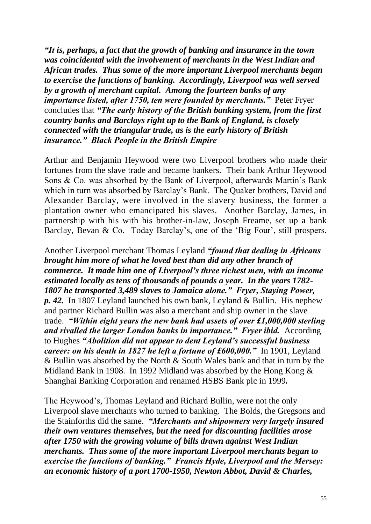*"It is, perhaps, a fact that the growth of banking and insurance in the town was coincidental with the involvement of merchants in the West Indian and African trades. Thus some of the more important Liverpool merchants began to exercise the functions of banking. Accordingly, Liverpool was well served by a growth of merchant capital. Among the fourteen banks of any importance listed, after 1750, ten were founded by merchants."* Peter Fryer concludes that *"The early history of the British banking system, from the first country banks and Barclays right up to the Bank of England, is closely connected with the triangular trade, as is the early history of British insurance." Black People in the British Empire*

Arthur and Benjamin Heywood were two Liverpool brothers who made their fortunes from the slave trade and became bankers. Their bank Arthur Heywood Sons & Co. was absorbed by the Bank of Liverpool, afterwards Martin's Bank which in turn was absorbed by Barclay's Bank. The Quaker brothers, David and Alexander Barclay, were involved in the slavery business, the former a plantation owner who emancipated his slaves. Another Barclay, James, in partnership with his with his brother-in-law, Joseph Freame, set up a bank Barclay, Bevan & Co. Today Barclay's, one of the 'Big Four', still prospers.

Another Liverpool merchant Thomas Leyland *"found that dealing in Africans brought him more of what he loved best than did any other branch of commerce. It made him one of Liverpool's three richest men, with an income estimated locally as tens of thousands of pounds a year. In the years 1782- 1807 he transported 3,489 slaves to Jamaica alone." Fryer, Staying Power, p. 42.* In 1807 Leyland launched his own bank, Leyland & Bullin. His nephew and partner Richard Bullin was also a merchant and ship owner in the slave trade. *"Within eight years the new bank had assets of over £1,000,000 sterling and rivalled the larger London banks in importance." Fryer ibid.* According to Hughes *"Abolition did not appear to dent Leyland's successful business career: on his death in 1827 he left a fortune of £600,000.*" In 1901, Leyland & Bullin was absorbed by the North & South Wales bank and that in turn by the Midland Bank in 1908. In 1992 Midland was absorbed by the Hong Kong & Shanghai Banking Corporation and renamed HSBS Bank plc in 1999*.*

The Heywood's, Thomas Leyland and Richard Bullin, were not the only Liverpool slave merchants who turned to banking. The Bolds, the Gregsons and the Stainforths did the same. *"Merchants and shipowners very largely insured their own ventures themselves, but the need for discounting facilities arose after 1750 with the growing volume of bills drawn against West Indian merchants. Thus some of the more important Liverpool merchants began to exercise the functions of banking." Francis Hyde, Liverpool and the Mersey: an economic history of a port 1700-1950, Newton Abbot, David & Charles,*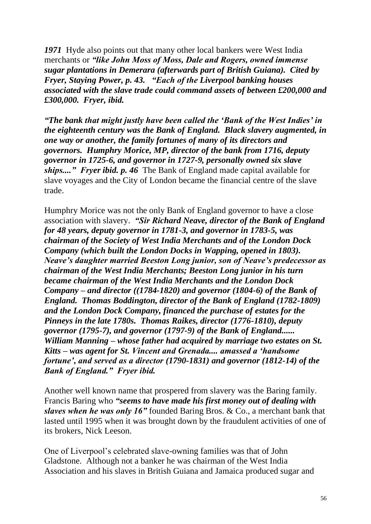*1971* Hyde also points out that many other local bankers were West India merchants or *"like John Moss of Moss, Dale and Rogers, owned immense sugar plantations in Demerara (afterwards part of British Guiana). Cited by Fryer, Staying Power, p. 43. "Each of the Liverpool banking houses associated with the slave trade could command assets of between £200,000 and £300,000. Fryer, ibid.* 

*"The bank that might justly have been called the 'Bank of the West Indies' in the eighteenth century was the Bank of England. Black slavery augmented, in one way or another, the family fortunes of many of its directors and governors. Humphry Morice, MP, director of the bank from 1716, deputy governor in 1725-6, and governor in 1727-9, personally owned six slave ships...." Fryer ibid. p. 46* The Bank of England made capital available for slave voyages and the City of London became the financial centre of the slave trade.

Humphry Morice was not the only Bank of England governor to have a close association with slavery. *"Sir Richard Neave, director of the Bank of England for 48 years, deputy governor in 1781-3, and governor in 1783-5, was chairman of the Society of West India Merchants and of the London Dock Company (which built the London Docks in Wapping, opened in 1803). Neave's daughter married Beeston Long junior, son of Neave's predecessor as chairman of the West India Merchants; Beeston Long junior in his turn became chairman of the West India Merchants and the London Dock Company – and director ((1784-1820) and governor (1804-6) of the Bank of England. Thomas Boddington, director of the Bank of England (1782-1809) and the London Dock Company, financed the purchase of estates for the Pinneys in the late 1780s. Thomas Raikes, director (1776-1810), deputy governor (1795-7), and governor (1797-9) of the Bank of England...... William Manning – whose father had acquired by marriage two estates on St. Kitts – was agent for St. Vincent and Grenada.... amassed a 'handsome fortune', and served as a director (1790-1831) and governor (1812-14) of the Bank of England." Fryer ibid.*

Another well known name that prospered from slavery was the Baring family. Francis Baring who *"seems to have made his first money out of dealing with slaves when he was only 16"* founded Baring Bros. & Co., a merchant bank that lasted until 1995 when it was brought down by the fraudulent activities of one of its brokers, Nick Leeson.

One of Liverpool's celebrated slave-owning families was that of John Gladstone. Although not a banker he was chairman of the West India Association and his slaves in British Guiana and Jamaica produced sugar and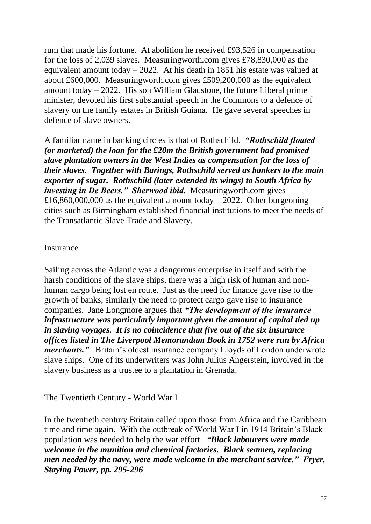rum that made his fortune. At abolition he received £93,526 in compensation for the loss of 2,039 slaves. Measuringworth.com gives £78,830,000 as the equivalent amount today – 2022. At his death in 1851 his estate was valued at about £600,000. Measuringworth.com gives £509,200,000 as the equivalent amount today – 2022. His son William Gladstone, the future Liberal prime minister, devoted his first substantial speech in the Commons to a defence of slavery on the family estates in British Guiana. He gave several speeches in defence of slave owners.

A familiar name in banking circles is that of Rothschild. *"Rothschild floated (or marketed) the loan for the £20m the British government had promised slave plantation owners in the West Indies as compensation for the loss of their slaves. Together with Barings, Rothschild served as bankers to the main exporter of sugar. Rothschild (later extended its wings) to South Africa by investing in De Beers." Sherwood ibid.* Measuringworth.com gives £16,860,000,000 as the equivalent amount today  $-2022$ . Other burgeoning cities such as Birmingham established financial institutions to meet the needs of the Transatlantic Slave Trade and Slavery.

#### Insurance

Sailing across the Atlantic was a dangerous enterprise in itself and with the harsh conditions of the slave ships, there was a high risk of human and nonhuman cargo being lost en route. Just as the need for finance gave rise to the growth of banks, similarly the need to protect cargo gave rise to insurance companies. Jane Longmore argues that *"The development of the insurance infrastructure was particularly important given the amount of capital tied up in slaving voyages. It is no coincidence that five out of the six insurance offices listed in The Liverpool Memorandum Book in 1752 were run by Africa merchants."* Britain's oldest insurance company Lloyds of London underwrote slave ships. One of its underwriters was John Julius Angerstein, involved in the slavery business as a trustee to a plantation in Grenada.

The Twentieth Century - World War I

In the twentieth century Britain called upon those from Africa and the Caribbean time and time again. With the outbreak of World War I in 1914 Britain's Black population was needed to help the war effort. *"Black labourers were made welcome in the munition and chemical factories. Black seamen, replacing men needed by the navy, were made welcome in the merchant service." Fryer, Staying Power, pp. 295-296*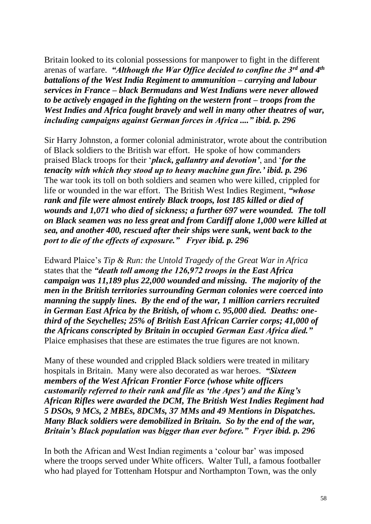Britain looked to its colonial possessions for manpower to fight in the different arenas of warfare. *"Although the War Office decided to confine the 3rd and 4th battalions of the West India Regiment to ammunition – carrying and labour services in France – black Bermudans and West Indians were never allowed to be actively engaged in the fighting on the western front – troops from the West Indies and Africa fought bravely and well in many other theatres of war, including campaigns against German forces in Africa ...." ibid. p. 296*

Sir Harry Johnston, a former colonial administrator, wrote about the contribution of Black soldiers to the British war effort. He spoke of how commanders praised Black troops for their '*pluck, gallantry and devotion'*, and '*for the tenacity with which they stood up to heavy machine gun fire.' ibid. p. 296* The war took its toll on both soldiers and seamen who were killed, crippled for life or wounded in the war effort. The British West Indies Regiment, *"whose rank and file were almost entirely Black troops, lost 185 killed or died of wounds and 1,071 who died of sickness; a further 697 were wounded. The toll on Black seamen was no less great and from Cardiff alone 1,000 were killed at sea, and another 400, rescued after their ships were sunk, went back to the port to die of the effects of exposure." Fryer ibid. p. 296*

Edward Plaice's *Tip & Run: the Untold Tragedy of the Great War in Africa* states that the *"death toll among the 126,972 troops in the East Africa campaign was 11,189 plus 22,000 wounded and missing. The majority of the men in the British territories surrounding German colonies were coerced into manning the supply lines. By the end of the war, 1 million carriers recruited in German East Africa by the British, of whom c. 95,000 died. Deaths: onethird of the Seychelles; 25% of British East African Carrier corps; 41,000 of the Africans conscripted by Britain in occupied German East Africa died."*  Plaice emphasises that these are estimates the true figures are not known.

Many of these wounded and crippled Black soldiers were treated in military hospitals in Britain. Many were also decorated as war heroes. *"Sixteen members of the West African Frontier Force (whose white officers customarily referred to their rank and file as 'the Apes') and the King's African Rifles were awarded the DCM, The British West Indies Regiment had 5 DSOs, 9 MCs, 2 MBEs, 8DCMs, 37 MMs and 49 Mentions in Dispatches. Many Black soldiers were demobilized in Britain. So by the end of the war, Britain's Black population was bigger than ever before." Fryer ibid. p. 296*

In both the African and West Indian regiments a 'colour bar' was imposed where the troops served under White officers. Walter Tull, a famous footballer who had played for Tottenham Hotspur and Northampton Town, was the only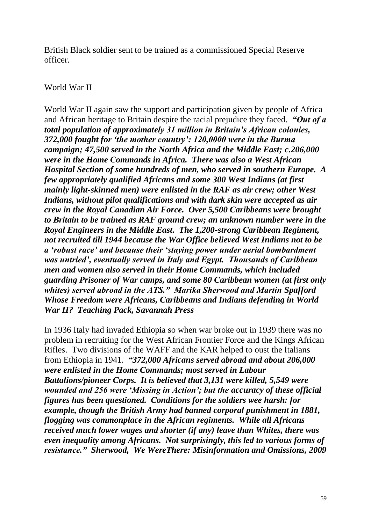British Black soldier sent to be trained as a commissioned Special Reserve officer.

### World War II

World War II again saw the support and participation given by people of Africa and African heritage to Britain despite the racial prejudice they faced. *"Out of a total population of approximately 31 million in Britain's African colonies, 372,000 fought for 'the mother country': 120,0000 were in the Burma campaign; 47,500 served in the North Africa and the Middle East; c.206,000 were in the Home Commands in Africa. There was also a West African Hospital Section of some hundreds of men, who served in southern Europe. A few appropriately qualified Africans and some 300 West Indians (at first mainly light-skinned men) were enlisted in the RAF as air crew; other West Indians, without pilot qualifications and with dark skin were accepted as air crew in the Royal Canadian Air Force. Over 5,500 Caribbeans were brought to Britain to be trained as RAF ground crew; an unknown number were in the Royal Engineers in the Middle East. The 1,200-strong Caribbean Regiment, not recruited till 1944 because the War Office believed West Indians not to be a 'robust race' and because their 'staying power under aerial bombardment was untried', eventually served in Italy and Egypt. Thousands of Caribbean men and women also served in their Home Commands, which included guarding Prisoner of War camps, and some 80 Caribbean women (at first only whites) served abroad in the ATS." Marika Sherwood and Martin Spafford Whose Freedom were Africans, Caribbeans and Indians defending in World War II? Teaching Pack, Savannah Press*

In 1936 Italy had invaded Ethiopia so when war broke out in 1939 there was no problem in recruiting for the West African Frontier Force and the Kings African Rifles. Two divisions of the WAFF and the KAR helped to oust the Italians from Ethiopia in 1941. *"372,000 Africans served abroad and about 206,000 were enlisted in the Home Commands; most served in Labour Battalions/pioneer Corps. It is believed that 3,131 were killed, 5,549 were wounded and 256 were 'Missing in Action'; but the accuracy of these official figures has been questioned. Conditions for the soldiers wee harsh: for example, though the British Army had banned corporal punishment in 1881, flogging was commonplace in the African regiments. While all Africans received much lower wages and shorter (if any) leave than Whites, there was even inequality among Africans. Not surprisingly, this led to various forms of resistance." Sherwood, We WereThere: Misinformation and Omissions, 2009*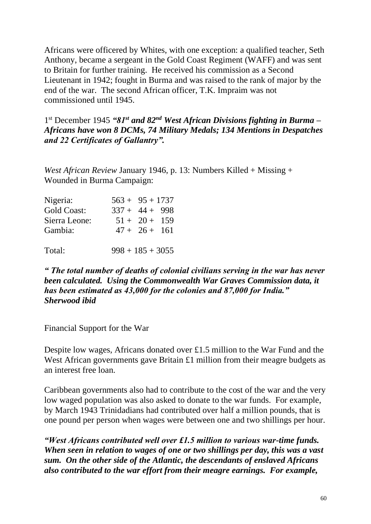Africans were officered by Whites, with one exception: a qualified teacher, Seth Anthony, became a sergeant in the Gold Coast Regiment (WAFF) and was sent to Britain for further training. He received his commission as a Second Lieutenant in 1942; fought in Burma and was raised to the rank of major by the end of the war. The second African officer, T.K. Impraim was not commissioned until 1945.

1 st December 1945 *"81st and 82nd West African Divisions fighting in Burma – Africans have won 8 DCMs, 74 Military Medals; 134 Mentions in Despatches and 22 Certificates of Gallantry".*

*West African Review* January 1946, p. 13: Numbers Killed + Missing + Wounded in Burma Campaign:

| Nigeria:           | $563 + 95 + 1737$  |                 |  |
|--------------------|--------------------|-----------------|--|
| <b>Gold Coast:</b> | $337 + 44 + 998$   |                 |  |
| Sierra Leone:      |                    | $51 + 20 + 159$ |  |
| Gambia:            |                    | $47 + 26 + 161$ |  |
|                    |                    |                 |  |
| Total:             | $998 + 185 + 3055$ |                 |  |

*" The total number of deaths of colonial civilians serving in the war has never been calculated. Using the Commonwealth War Graves Commission data, it has been estimated as 43,000 for the colonies and 87,000 for India." Sherwood ibid*

Financial Support for the War

Despite low wages, Africans donated over £1.5 million to the War Fund and the West African governments gave Britain £1 million from their meagre budgets as an interest free loan.

Caribbean governments also had to contribute to the cost of the war and the very low waged population was also asked to donate to the war funds. For example, by March 1943 Trinidadians had contributed over half a million pounds, that is one pound per person when wages were between one and two shillings per hour.

*"West Africans contributed well over £1.5 million to various war-time funds. When seen in relation to wages of one or two shillings per day, this was a vast sum. On the other side of the Atlantic, the descendants of enslaved Africans also contributed to the war effort from their meagre earnings. For example,*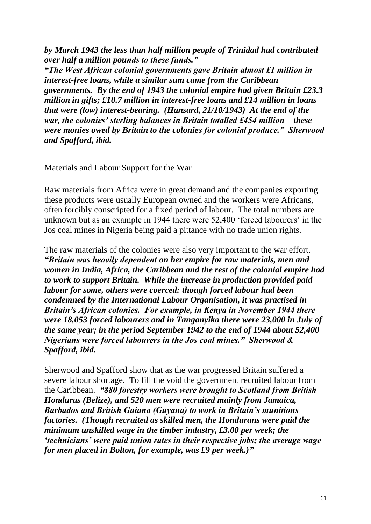*by March 1943 the less than half million people of Trinidad had contributed over half a million pounds to these funds."*

*"The West African colonial governments gave Britain almost £1 million in interest-free loans, while a similar sum came from the Caribbean governments. By the end of 1943 the colonial empire had given Britain £23.3 million in gifts; £10.7 million in interest-free loans and £14 million in loans that were (low) interest-bearing. (Hansard, 21/10/1943) At the end of the war, the colonies' sterling balances in Britain totalled £454 million – these were monies owed by Britain to the colonies for colonial produce." Sherwood and Spafford, ibid.*

Materials and Labour Support for the War

Raw materials from Africa were in great demand and the companies exporting these products were usually European owned and the workers were Africans, often forcibly conscripted for a fixed period of labour.The total numbers are unknown but as an example in 1944 there were 52,400 'forced labourers' in the Jos coal mines in Nigeria being paid a pittance with no trade union rights.

The raw materials of the colonies were also very important to the war effort. *"Britain was heavily dependent on her empire for raw materials, men and women in India, Africa, the Caribbean and the rest of the colonial empire had to work to support Britain. While the increase in production provided paid labour for some, others were coerced: though forced labour had been condemned by the International Labour Organisation, it was practised in Britain's African colonies. For example, in Kenya in November 1944 there were 18,053 forced labourers and in Tanganyika there were 23,000 in July of the same year; in the period September 1942 to the end of 1944 about 52,400 Nigerians were forced labourers in the Jos coal mines." Sherwood & Spafford, ibid.*

Sherwood and Spafford show that as the war progressed Britain suffered a severe labour shortage. To fill the void the government recruited labour from the Caribbean. *"880 forestry workers were brought to Scotland from British Honduras (Belize), and 520 men were recruited mainly from Jamaica, Barbados and British Guiana (Guyana) to work in Britain's munitions factories. (Though recruited as skilled men, the Hondurans were paid the minimum unskilled wage in the timber industry, £3.00 per week; the 'technicians' were paid union rates in their respective jobs; the average wage for men placed in Bolton, for example, was £9 per week.)"*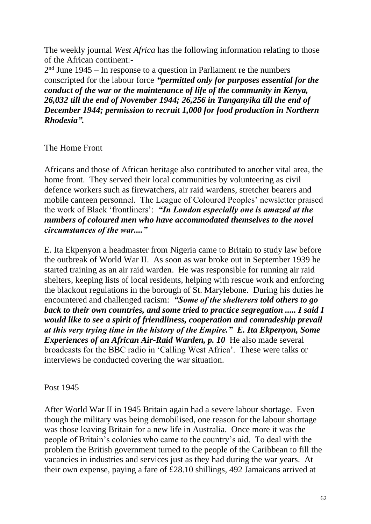The weekly journal *West Africa* has the following information relating to those of the African continent:-

 $2<sup>nd</sup>$  June 1945 – In response to a question in Parliament re the numbers conscripted for the labour force *"permitted only for purposes essential for the conduct of the war or the maintenance of life of the community in Kenya, 26,032 till the end of November 1944; 26,256 in Tanganyika till the end of December 1944; permission to recruit 1,000 for food production in Northern Rhodesia".*

The Home Front

Africans and those of African heritage also contributed to another vital area, the home front. They served their local communities by volunteering as civil defence workers such as firewatchers, air raid wardens, stretcher bearers and mobile canteen personnel. The League of Coloured Peoples' newsletter praised the work of Black 'frontliners': *"In London especially one is amazed at the numbers of coloured men who have accommodated themselves to the novel circumstances of the war...."* 

E. Ita Ekpenyon a headmaster from Nigeria came to Britain to study law before the outbreak of World War II. As soon as war broke out in September 1939 he started training as an air raid warden. He was responsible for running air raid shelters, keeping lists of local residents, helping with rescue work and enforcing the blackout regulations in the borough of St. Marylebone. During his duties he encountered and challenged racism: *"Some of the shelterers told others to go back to their own countries, and some tried to practice segregation ..... I said I would like to see a spirit of friendliness, cooperation and comradeship prevail at this very trying time in the history of the Empire." E. Ita Ekpenyon, Some Experiences of an African Air-Raid Warden, p. 10* He also made several broadcasts for the BBC radio in 'Calling West Africa'. These were talks or interviews he conducted covering the war situation.

Post 1945

After World War II in 1945 Britain again had a severe labour shortage. Even though the military was being demobilised, one reason for the labour shortage was those leaving Britain for a new life in Australia. Once more it was the people of Britain's colonies who came to the country's aid. To deal with the problem the British government turned to the people of the Caribbean to fill the vacancies in industries and services just as they had during the war years. At their own expense, paying a fare of £28.10 shillings, 492 Jamaicans arrived at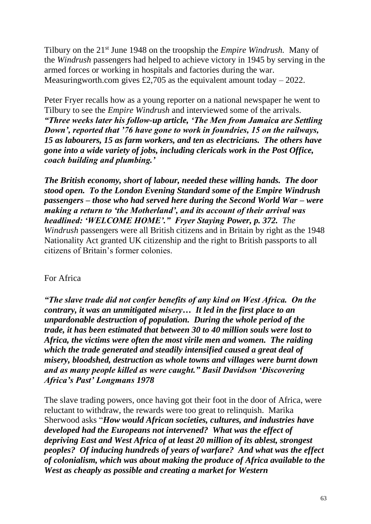Tilbury on the 21st June 1948 on the troopship the *Empire Windrush.* Many of the *Windrush* passengers had helped to achieve victory in 1945 by serving in the armed forces or working in hospitals and factories during the war. Measuringworth.com gives £2,705 as the equivalent amount today  $-2022$ .

Peter Fryer recalls how as a young reporter on a national newspaper he went to Tilbury to see the *Empire Windrush* and interviewed some of the arrivals. *"Three weeks later his follow-up article, 'The Men from Jamaica are Settling Down', reported that '76 have gone to work in foundries, 15 on the railways, 15 as labourers, 15 as farm workers, and ten as electricians. The others have gone into a wide variety of jobs, including clericals work in the Post Office, coach building and plumbing.'*

*The British economy, short of labour, needed these willing hands. The door stood open. To the London Evening Standard some of the Empire Windrush passengers – those who had served here during the Second World War – were making a return to 'the Motherland', and its account of their arrival was headlined: 'WELCOME HOME'." Fryer Staying Power, p. 372. The Windrush* passengers were all British citizens and in Britain by right as the 1948 Nationality Act granted UK citizenship and the right to British passports to all citizens of Britain's former colonies.

# For Africa

*"The slave trade did not confer benefits of any kind on West Africa. On the contrary, it was an unmitigated misery… It led in the first place to an unpardonable destruction of population. During the whole period of the trade, it has been estimated that between 30 to 40 million souls were lost to Africa, the victims were often the most virile men and women. The raiding which the trade generated and steadily intensified caused a great deal of misery, bloodshed, destruction as whole towns and villages were burnt down and as many people killed as were caught." Basil Davidson 'Discovering Africa's Past' Longmans 1978*

The slave trading powers, once having got their foot in the door of Africa, were reluctant to withdraw, the rewards were too great to relinquish. Marika Sherwood asks "*How would African societies, cultures, and industries have developed had the Europeans not intervened? What was the effect of depriving East and West Africa of at least 20 million of its ablest, strongest peoples? Of inducing hundreds of years of warfare? And what was the effect of colonialism, which was about making the produce of Africa available to the West as cheaply as possible and creating a market for Western*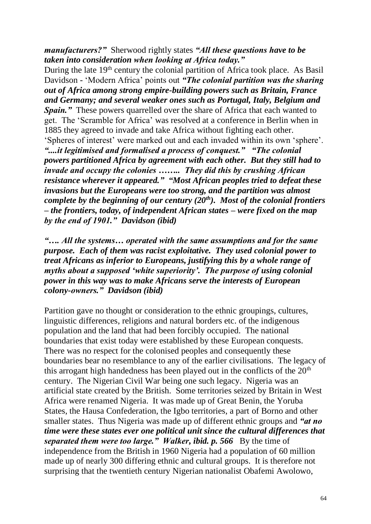*manufacturers?"* Sherwood rightly states *"All these questions have to be taken into consideration when looking at Africa today."*

During the late 19<sup>th</sup> century the colonial partition of Africa took place. As Basil Davidson - 'Modern Africa' points out *"The colonial partition was the sharing out of Africa among strong empire-building powers such as Britain, France and Germany; and several weaker ones such as Portugal, Italy, Belgium and Spain.*" These powers quarrelled over the share of Africa that each wanted to get. The 'Scramble for Africa' was resolved at a conference in Berlin when in 1885 they agreed to invade and take Africa without fighting each other. 'Spheres of interest' were marked out and each invaded within its own 'sphere'. *"....it legitimised and formalised a process of conquest." "The colonial powers partitioned Africa by agreement with each other. But they still had to invade and occupy the colonies …….. They did this by crushing African resistance wherever it appeared." "Most African peoples tried to defeat these invasions but the Europeans were too strong, and the partition was almost complete by the beginning of our century (20th). Most of the colonial frontiers – the frontiers, today, of independent African states – were fixed on the map by the end of 1901." Davidson (ibid)*

*"…. All the systems… operated with the same assumptions and for the same purpose. Each of them was racist exploitative. They used colonial power to treat Africans as inferior to Europeans, justifying this by a whole range of myths about a supposed 'white superiority'. The purpose of using colonial power in this way was to make Africans serve the interests of European colony-owners." Davidson (ibid)*

Partition gave no thought or consideration to the ethnic groupings, cultures, linguistic differences, religions and natural borders etc. of the indigenous population and the land that had been forcibly occupied. The national boundaries that exist today were established by these European conquests. There was no respect for the colonised peoples and consequently these boundaries bear no resemblance to any of the earlier civilisations. The legacy of this arrogant high handedness has been played out in the conflicts of the  $20<sup>th</sup>$ century. The Nigerian Civil War being one such legacy. Nigeria was an artificial state created by the British. Some territories seized by Britain in West Africa were renamed Nigeria. It was made up of Great Benin, the Yoruba States, the Hausa Confederation, the Igbo territories, a part of Borno and other smaller states. Thus Nigeria was made up of different ethnic groups and *"at no time were these states ever one political unit since the cultural differences that separated them were too large." Walker, ibid. p. 566* By the time of independence from the British in 1960 Nigeria had a population of 60 million made up of nearly 300 differing ethnic and cultural groups. It is therefore not surprising that the twentieth century Nigerian nationalist Obafemi Awolowo,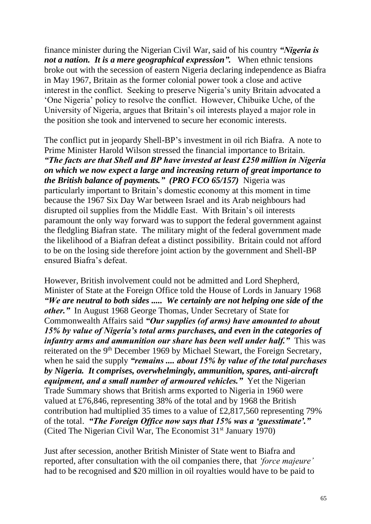finance minister during the Nigerian Civil War, said of his country *"Nigeria is not a nation. It is a mere geographical expression".* When ethnic tensions broke out with the secession of eastern Nigeria declaring independence as Biafra in May 1967, Britain as the former colonial power took a close and active interest in the conflict. Seeking to preserve Nigeria's unity Britain advocated a 'One Nigeria' policy to resolve the conflict. However, Chibuike Uche, of the University of Nigeria, argues that Britain's oil interests played a major role in the position she took and intervened to secure her economic interests.

The conflict put in jeopardy Shell-BP's investment in oil rich Biafra. A note to Prime Minister Harold Wilson stressed the financial importance to Britain. *"The facts are that Shell and BP have invested at least £250 million in Nigeria on which we now expect a large and increasing return of great importance to the British balance of payments." (PRO FCO 65/157)* Nigeria was particularly important to Britain's domestic economy at this moment in time because the 1967 Six Day War between Israel and its Arab neighbours had disrupted oil supplies from the Middle East. With Britain's oil interests paramount the only way forward was to support the federal government against the fledgling Biafran state. The military might of the federal government made the likelihood of a Biafran defeat a distinct possibility. Britain could not afford to be on the losing side therefore joint action by the government and Shell-BP ensured Biafra's defeat.

However, British involvement could not be admitted and Lord Shepherd, Minister of State at the Foreign Office told the House of Lords in January 1968 *"We are neutral to both sides ..... We certainly are not helping one side of the other."* In August 1968 George Thomas, Under Secretary of State for Commonwealth Affairs said *"Our supplies (of arms) have amounted to about 15% by value of Nigeria's total arms purchases, and even in the categories of infantry arms and ammunition our share has been well under half.*" This was reiterated on the 9<sup>th</sup> December 1969 by Michael Stewart, the Foreign Secretary, when he said the supply *"remains .... about 15% by value of the total purchases by Nigeria. It comprises, overwhelmingly, ammunition, spares, anti-aircraft equipment, and a small number of armoured vehicles."* Yet the Nigerian Trade Summary shows that British arms exported to Nigeria in 1960 were valued at £76,846, representing 38% of the total and by 1968 the British contribution had multiplied 35 times to a value of £2,817,560 representing 79% of the total. *"The Foreign Office now says that 15% was a 'guesstimate'."*  (Cited The Nigerian Civil War, The Economist 31<sup>st</sup> January 1970)

Just after secession, another British Minister of State went to Biafra and reported, after consultation with the oil companies there, that *'force majeure'*  had to be recognised and \$20 million in oil royalties would have to be paid to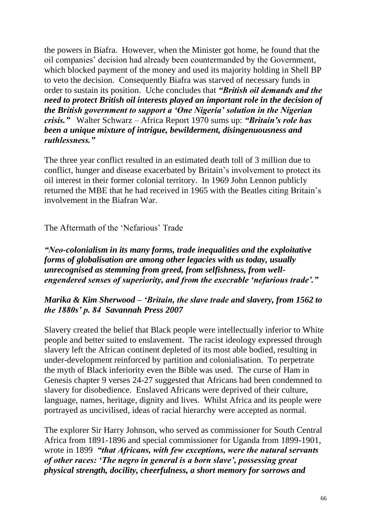the powers in Biafra. However, when the Minister got home, he found that the oil companies' decision had already been countermanded by the Government, which blocked payment of the money and used its majority holding in Shell BP to veto the decision. Consequently Biafra was starved of necessary funds in order to sustain its position. Uche concludes that *"British oil demands and the need to protect British oil interests played an important role in the decision of the British government to support a 'One Nigeria' solution in the Nigerian crisis."* Walter Schwarz – Africa Report 1970 sums up: *"Britain's role has been a unique mixture of intrigue, bewilderment, disingenuousness and ruthlessness."*

The three year conflict resulted in an estimated death toll of 3 million due to conflict, hunger and disease exacerbated by Britain's involvement to protect its oil interest in their former colonial territory. In 1969 John Lennon publicly returned the MBE that he had received in 1965 with the Beatles citing Britain's involvement in the Biafran War.

# The Aftermath of the 'Nefarious' Trade

*"Neo-colonialism in its many forms, trade inequalities and the exploitative forms of globalisation are among other legacies with us today, usually unrecognised as stemming from greed, from selfishness, from wellengendered senses of superiority, and from the execrable 'nefarious trade'."*

# *Marika & Kim Sherwood – 'Britain, the slave trade and slavery, from 1562 to the 1880s' p. 84 Savannah Press 2007*

Slavery created the belief that Black people were intellectually inferior to White people and better suited to enslavement. The racist ideology expressed through slavery left the African continent depleted of its most able bodied, resulting in under-development reinforced by partition and colonialisation. To perpetrate the myth of Black inferiority even the Bible was used. The curse of Ham in Genesis chapter 9 verses 24-27 suggested that Africans had been condemned to slavery for disobedience. Enslaved Africans were deprived of their culture, language, names, heritage, dignity and lives. Whilst Africa and its people were portrayed as uncivilised, ideas of racial hierarchy were accepted as normal.

The explorer Sir Harry Johnson, who served as commissioner for South Central Africa from 1891-1896 and special commissioner for Uganda from 1899-1901, wrote in 1899 *"that Africans, with few exceptions, were the natural servants of other races: 'The negro in general is a born slave', possessing great physical strength, docility, cheerfulness, a short memory for sorrows and*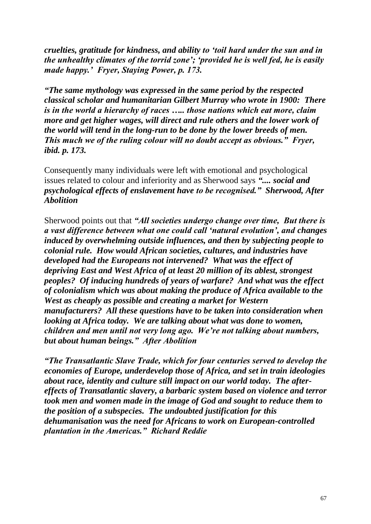*cruelties, gratitude for kindness, and ability to 'toil hard under the sun and in the unhealthy climates of the torrid zone'; 'provided he is well fed, he is easily made happy.' Fryer, Staying Power, p. 173.*

*"The same mythology was expressed in the same period by the respected classical scholar and humanitarian Gilbert Murray who wrote in 1900: There is in the world a hierarchy of races ….. those nations which eat more, claim more and get higher wages, will direct and rule others and the lower work of the world will tend in the long-run to be done by the lower breeds of men. This much we of the ruling colour will no doubt accept as obvious." Fryer, ibid. p. 173.* 

Consequently many individuals were left with emotional and psychological issues related to colour and inferiority and as Sherwood says *".... social and psychological effects of enslavement have to be recognised." Sherwood, After Abolition*

Sherwood points out that *"All societies undergo change over time, But there is a vast difference between what one could call 'natural evolution', and changes induced by overwhelming outside influences, and then by subjecting people to colonial rule. How would African societies, cultures, and industries have developed had the Europeans not intervened? What was the effect of depriving East and West Africa of at least 20 million of its ablest, strongest peoples? Of inducing hundreds of years of warfare? And what was the effect of colonialism which was about making the produce of Africa available to the West as cheaply as possible and creating a market for Western manufacturers? All these questions have to be taken into consideration when looking at Africa today. We are talking about what was done to women, children and men until not very long ago. We're not talking about numbers, but about human beings." After Abolition*

*"The Transatlantic Slave Trade, which for four centuries served to develop the economies of Europe, underdevelop those of Africa, and set in train ideologies about race, identity and culture still impact on our world today. The aftereffects of Transatlantic slavery, a barbaric system based on violence and terror took men and women made in the image of God and sought to reduce them to the position of a subspecies. The undoubted justification for this dehumanisation was the need for Africans to work on European-controlled plantation in the Americas." Richard Reddie*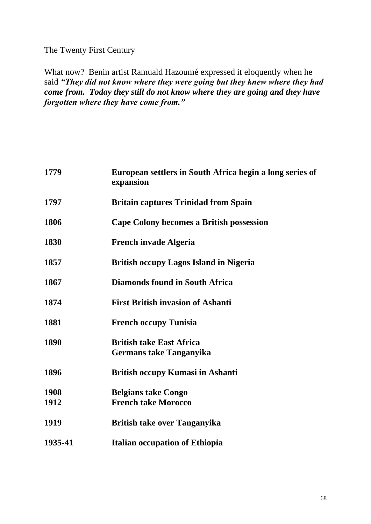The Twenty First Century

What now? Benin artist Ramuald Hazoumé expressed it eloquently when he said *"They did not know where they were going but they knew where they had come from. Today they still do not know where they are going and they have forgotten where they have come from."*

| 1779    | European settlers in South Africa begin a long series of<br>expansion |
|---------|-----------------------------------------------------------------------|
| 1797    | <b>Britain captures Trinidad from Spain</b>                           |
| 1806    | Cape Colony becomes a British possession                              |
| 1830    | <b>French invade Algeria</b>                                          |
| 1857    | <b>British occupy Lagos Island in Nigeria</b>                         |
| 1867    | <b>Diamonds found in South Africa</b>                                 |
| 1874    | <b>First British invasion of Ashanti</b>                              |
| 1881    | <b>French occupy Tunisia</b>                                          |
| 1890    | <b>British take East Africa</b><br><b>Germans take Tanganyika</b>     |
| 1896    | <b>British occupy Kumasi in Ashanti</b>                               |
| 1908    | <b>Belgians take Congo</b>                                            |
| 1912    | <b>French take Morocco</b>                                            |
| 1919    | <b>British take over Tanganyika</b>                                   |
| 1935-41 | <b>Italian occupation of Ethiopia</b>                                 |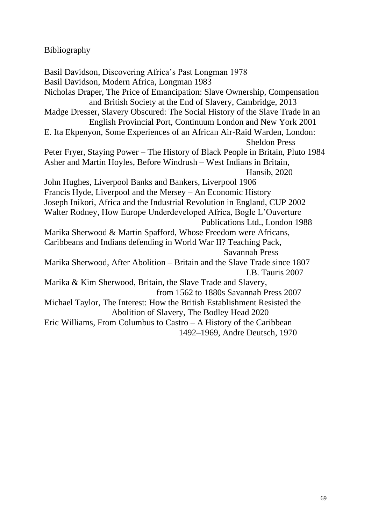# Bibliography

Basil Davidson, Discovering Africa's Past Longman 1978 Basil Davidson, Modern Africa, Longman 1983 Nicholas Draper, The Price of Emancipation: Slave Ownership, Compensation and British Society at the End of Slavery, Cambridge, 2013 Madge Dresser, Slavery Obscured: The Social History of the Slave Trade in an English Provincial Port, Continuum London and New York 2001 E. Ita Ekpenyon, Some Experiences of an African Air-Raid Warden, London: Sheldon Press Peter Fryer, Staying Power – The History of Black People in Britain, Pluto 1984 Asher and Martin Hoyles, Before Windrush – West Indians in Britain, Hansib, 2020 John Hughes, Liverpool Banks and Bankers, Liverpool 1906 Francis Hyde, Liverpool and the Mersey – An Economic History Joseph Inikori, Africa and the Industrial Revolution in England, CUP 2002 Walter Rodney, How Europe Underdeveloped Africa, Bogle L'Ouverture Publications Ltd., London 1988 Marika Sherwood & Martin Spafford, Whose Freedom were Africans, Caribbeans and Indians defending in World War II? Teaching Pack, Savannah Press Marika Sherwood, After Abolition – Britain and the Slave Trade since 1807 I.B. Tauris 2007 Marika & Kim Sherwood, Britain, the Slave Trade and Slavery, from 1562 to 1880s Savannah Press 2007 Michael Taylor, The Interest: How the British Establishment Resisted the Abolition of Slavery, The Bodley Head 2020 Eric Williams, From Columbus to Castro – A History of the Caribbean 1492–1969, Andre Deutsch, 1970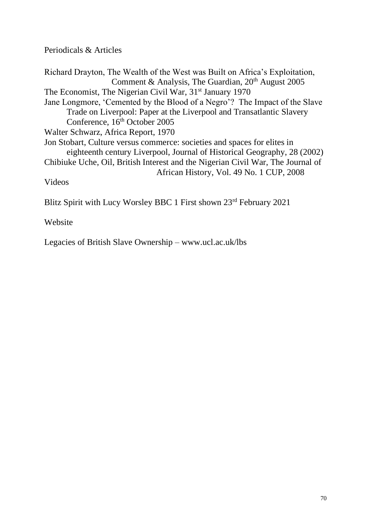Periodicals & Articles

Richard Drayton, The Wealth of the West was Built on Africa's Exploitation, Comment & Analysis, The Guardian, 20<sup>th</sup> August 2005 The Economist, The Nigerian Civil War, 31<sup>st</sup> January 1970 Jane Longmore, 'Cemented by the Blood of a Negro'? The Impact of the Slave Trade on Liverpool: Paper at the Liverpool and Transatlantic Slavery Conference, 16<sup>th</sup> October 2005 Walter Schwarz, Africa Report, 1970 Jon Stobart, Culture versus commerce: societies and spaces for elites in eighteenth century Liverpool, Journal of Historical Geography, 28 (2002) Chibiuke Uche, Oil, British Interest and the Nigerian Civil War, The Journal of African History, Vol. 49 No. 1 CUP, 2008 Videos Blitz Spirit with Lucy Worsley BBC 1 First shown 23<sup>rd</sup> February 2021

Website

Legacies of British Slave Ownership – www.ucl.ac.uk/lbs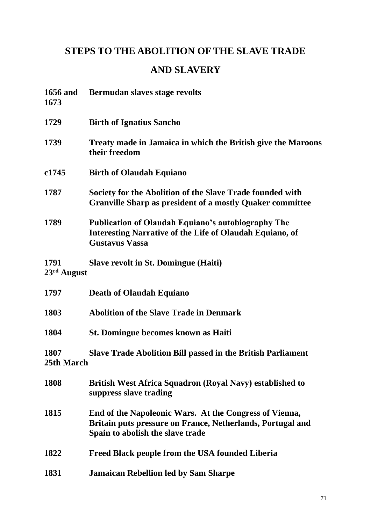# **STEPS TO THE ABOLITION OF THE SLAVE TRADE**

# **AND SLAVERY**

| <b>1656 and</b><br>1673 | Bermudan slaves stage revolts                                                                                                                            |
|-------------------------|----------------------------------------------------------------------------------------------------------------------------------------------------------|
| 1729                    | <b>Birth of Ignatius Sancho</b>                                                                                                                          |
| 1739                    | Treaty made in Jamaica in which the British give the Maroons<br>their freedom                                                                            |
| c <sub>1745</sub>       | <b>Birth of Olaudah Equiano</b>                                                                                                                          |
| 1787                    | Society for the Abolition of the Slave Trade founded with<br><b>Granville Sharp as president of a mostly Quaker committee</b>                            |
| 1789                    | <b>Publication of Olaudah Equiano's autobiography The</b><br><b>Interesting Narrative of the Life of Olaudah Equiano, of</b><br><b>Gustavus Vassa</b>    |
| 1791<br>$23rd$ August   | <b>Slave revolt in St. Domingue (Haiti)</b>                                                                                                              |
| 1797                    | <b>Death of Olaudah Equiano</b>                                                                                                                          |
| 1803                    | <b>Abolition of the Slave Trade in Denmark</b>                                                                                                           |
| 1804                    | <b>St. Domingue becomes known as Haiti</b>                                                                                                               |
| 1807<br>25th March      | <b>Slave Trade Abolition Bill passed in the British Parliament</b>                                                                                       |
| 1808                    | <b>British West Africa Squadron (Royal Navy) established to</b><br>suppress slave trading                                                                |
| 1815                    | End of the Napoleonic Wars. At the Congress of Vienna,<br>Britain puts pressure on France, Netherlands, Portugal and<br>Spain to abolish the slave trade |
| 1822                    | Freed Black people from the USA founded Liberia                                                                                                          |
| 1831                    | <b>Jamaican Rebellion led by Sam Sharpe</b>                                                                                                              |